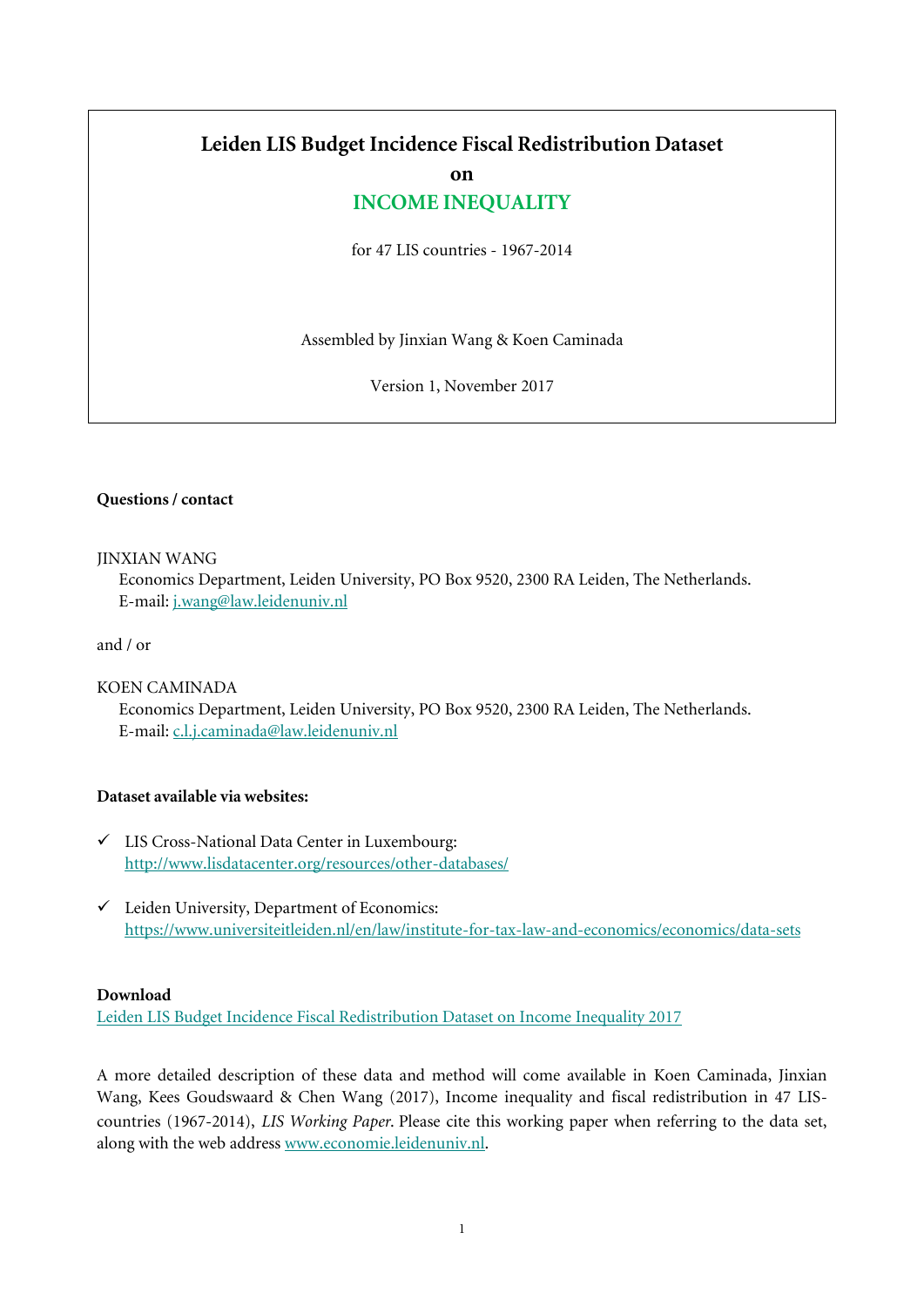# **Leiden LIS Budget Incidence Fiscal Redistribution Dataset**

**on**

# **INCOME INEQUALITY**

for 47 LIS countries - 1967-2014

Assembled by Jinxian Wang & Koen Caminada

Version 1, November 2017

### **Questions / contact**

#### JINXIAN WANG

Economics Department, Leiden University, PO Box 9520, 2300 RA Leiden, The Netherlands. E-mail[: j.wang@law.leidenuniv.nl](mailto:j.wang@law.leidenuniv.nl)

and / or

### KOEN CAMINADA

Economics Department, Leiden University, PO Box 9520, 2300 RA Leiden, The Netherlands. E-mail[: c.l.j.caminada@law.leidenuniv.nl](mailto:c.l.j.caminada@law.leidenuniv.nl)

#### **Dataset available via websites:**

- LIS Cross-National Data Center in Luxembourg: <http://www.lisdatacenter.org/resources/other-databases/>
- $\checkmark$  Leiden University, Department of Economics: <https://www.universiteitleiden.nl/en/law/institute-for-tax-law-and-economics/economics/data-sets>

### **Download**

[Leiden LIS Budget Incidence Fiscal Redistribution Dataset on Income Inequality 2017](https://www.universiteitleiden.nl/en/law/institute-for-tax-law-and-economics/economics/data-sets/leiden-lis-budget-incidence-fiscal-redistribution-dataset-on-income-inequality-for-47-lis-countries---1967-2014)

A more detailed description of these data and method will come available in Koen Caminada, Jinxian Wang, Kees Goudswaard & Chen Wang (2017), Income inequality and fiscal redistribution in 47 LIScountries (1967-2014), *LIS Working Paper*. Please cite this working paper when referring to the data set, along with the web addres[s www.economie.leidenuniv.nl.](http://www.economie.leidenuniv.nl/)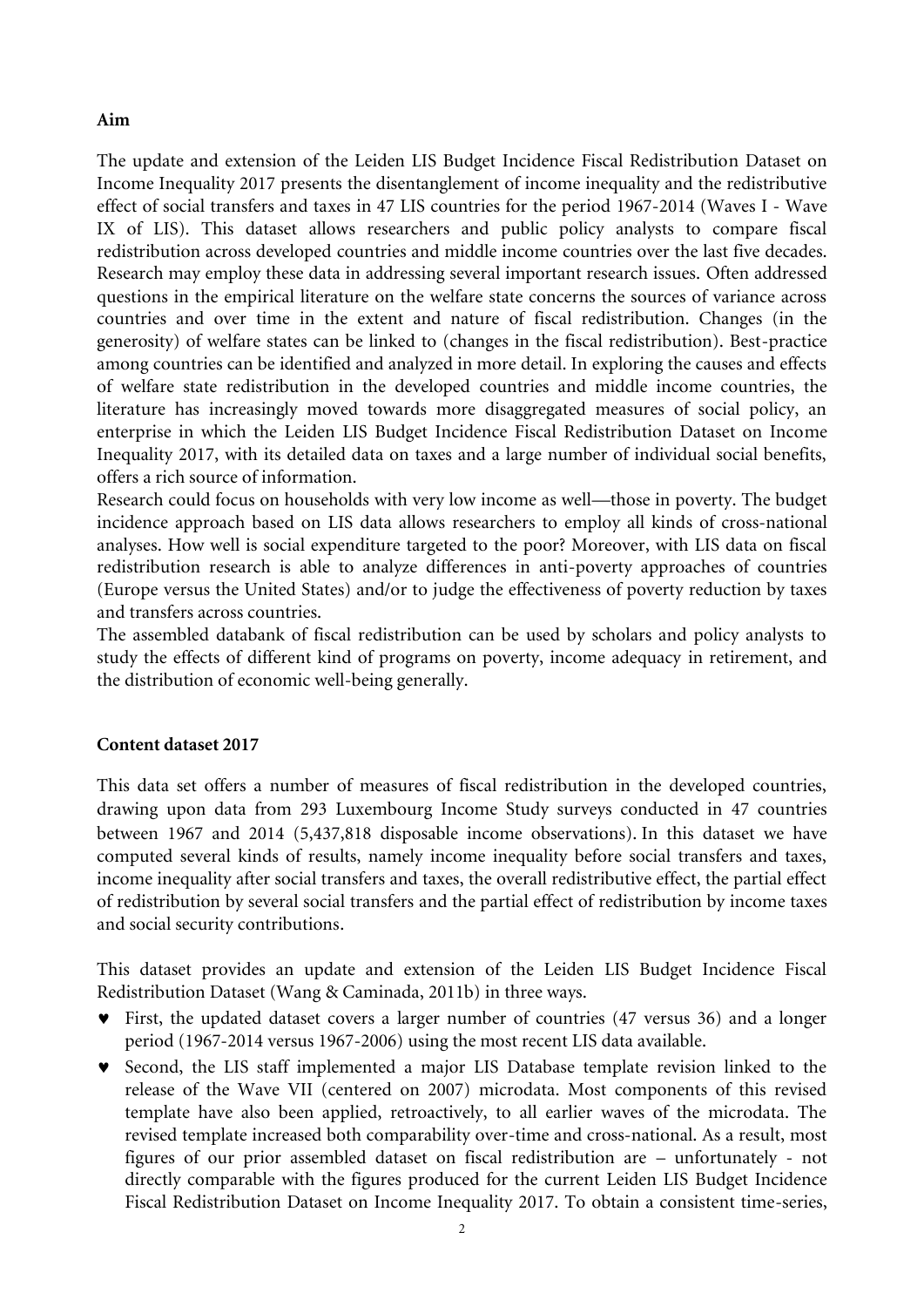## **Aim**

The update and extension of the Leiden LIS Budget Incidence Fiscal Redistribution Dataset on Income Inequality 2017 presents the disentanglement of income inequality and the redistributive effect of social transfers and taxes in 47 LIS countries for the period 1967-2014 (Waves I - Wave IX of LIS). This dataset allows researchers and public policy analysts to compare fiscal redistribution across developed countries and middle income countries over the last five decades. Research may employ these data in addressing several important research issues. Often addressed questions in the empirical literature on the welfare state concerns the sources of variance across countries and over time in the extent and nature of fiscal redistribution. Changes (in the generosity) of welfare states can be linked to (changes in the fiscal redistribution). Best-practice among countries can be identified and analyzed in more detail. In exploring the causes and effects of welfare state redistribution in the developed countries and middle income countries, the literature has increasingly moved towards more disaggregated measures of social policy, an enterprise in which the Leiden LIS Budget Incidence Fiscal Redistribution Dataset on Income Inequality 2017, with its detailed data on taxes and a large number of individual social benefits, offers a rich source of information.

Research could focus on households with very low income as well—those in poverty. The budget incidence approach based on LIS data allows researchers to employ all kinds of cross-national analyses. How well is social expenditure targeted to the poor? Moreover, with LIS data on fiscal redistribution research is able to analyze differences in anti-poverty approaches of countries (Europe versus the United States) and/or to judge the effectiveness of poverty reduction by taxes and transfers across countries.

The assembled databank of fiscal redistribution can be used by scholars and policy analysts to study the effects of different kind of programs on poverty, income adequacy in retirement, and the distribution of economic well-being generally.

## **Content dataset 2017**

This data set offers a number of measures of fiscal redistribution in the developed countries, drawing upon data from 293 Luxembourg Income Study surveys conducted in 47 countries between 1967 and 2014 (5,437,818 disposable income observations). In this dataset we have computed several kinds of results, namely income inequality before social transfers and taxes, income inequality after social transfers and taxes, the overall redistributive effect, the partial effect of redistribution by several social transfers and the partial effect of redistribution by income taxes and social security contributions.

This dataset provides an update and extension of the Leiden LIS Budget Incidence Fiscal Redistribution Dataset (Wang & Caminada, 2011b) in three ways.

- First, the updated dataset covers a larger number of countries (47 versus 36) and a longer period (1967-2014 versus 1967-2006) using the most recent LIS data available.
- Second, the LIS staff implemented a major LIS Database template revision linked to the release of the Wave VII (centered on 2007) microdata. Most components of this revised template have also been applied, retroactively, to all earlier waves of the microdata. The revised template increased both comparability over-time and cross-national. As a result, most figures of our prior assembled dataset on fiscal redistribution are – unfortunately - not directly comparable with the figures produced for the current Leiden LIS Budget Incidence Fiscal Redistribution Dataset on Income Inequality 2017. To obtain a consistent time-series,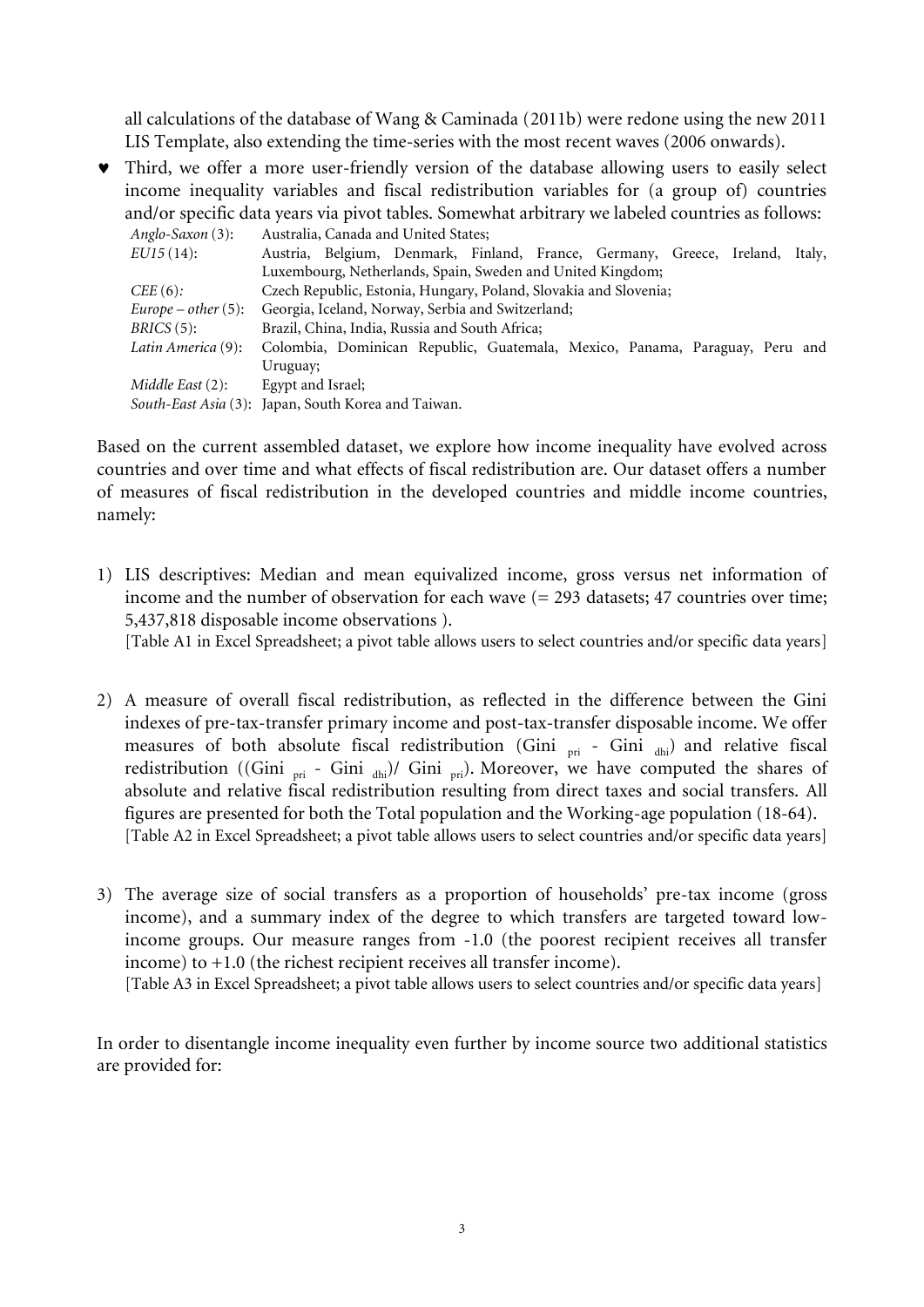all calculations of the database of Wang & Caminada (2011b) were redone using the new 2011 LIS Template, also extending the time-series with the most recent waves (2006 onwards).

 Third, we offer a more user-friendly version of the database allowing users to easily select income inequality variables and fiscal redistribution variables for (a group of) countries and/or specific data years via pivot tables. Somewhat arbitrary we labeled countries as follows:

| Anglo-Saxon (3):       | Australia, Canada and United States;                                         |  |  |  |  |
|------------------------|------------------------------------------------------------------------------|--|--|--|--|
| $EU15(14)$ :           | Austria, Belgium, Denmark, Finland, France, Germany, Greece, Ireland, Italy, |  |  |  |  |
|                        | Luxembourg, Netherlands, Spain, Sweden and United Kingdom;                   |  |  |  |  |
| $CEE(6)$ :             | Czech Republic, Estonia, Hungary, Poland, Slovakia and Slovenia;             |  |  |  |  |
| $Europe - other (5)$ : | Georgia, Iceland, Norway, Serbia and Switzerland;                            |  |  |  |  |
| $BRICS(5)$ :           | Brazil, China, India, Russia and South Africa;                               |  |  |  |  |
| Latin America (9):     | Colombia, Dominican Republic, Guatemala, Mexico, Panama, Paraguay, Peru and  |  |  |  |  |
|                        | Uruguay;                                                                     |  |  |  |  |
| Middle East (2):       | Egypt and Israel;                                                            |  |  |  |  |
|                        | South-East Asia (3): Japan, South Korea and Taiwan.                          |  |  |  |  |

Based on the current assembled dataset, we explore how income inequality have evolved across countries and over time and what effects of fiscal redistribution are. Our dataset offers a number of measures of fiscal redistribution in the developed countries and middle income countries, namely:

- 1) LIS descriptives: Median and mean equivalized income, gross versus net information of income and the number of observation for each wave (= 293 datasets; 47 countries over time; 5,437,818 disposable income observations ). [Table A1 in Excel Spreadsheet; a pivot table allows users to select countries and/or specific data years]
- 2) A measure of overall fiscal redistribution, as reflected in the difference between the Gini indexes of pre-tax-transfer primary income and post-tax-transfer disposable income. We offer measures of both absolute fiscal redistribution (Gini  $_{\text{pri}}$  - Gini  $_{\text{dhi}}$ ) and relative fiscal redistribution ((Gini  $_{\text{pri}}$  - Gini  $_{\text{dhi}}$ )/ Gini  $_{\text{pri}}$ ). Moreover, we have computed the shares of absolute and relative fiscal redistribution resulting from direct taxes and social transfers. All figures are presented for both the Total population and the Working-age population (18-64). [Table A2 in Excel Spreadsheet; a pivot table allows users to select countries and/or specific data years]
- 3) The average size of social transfers as a proportion of households' pre-tax income (gross income), and a summary index of the degree to which transfers are targeted toward lowincome groups. Our measure ranges from -1.0 (the poorest recipient receives all transfer income) to +1.0 (the richest recipient receives all transfer income).

[Table A3 in Excel Spreadsheet; a pivot table allows users to select countries and/or specific data years]

In order to disentangle income inequality even further by income source two additional statistics are provided for: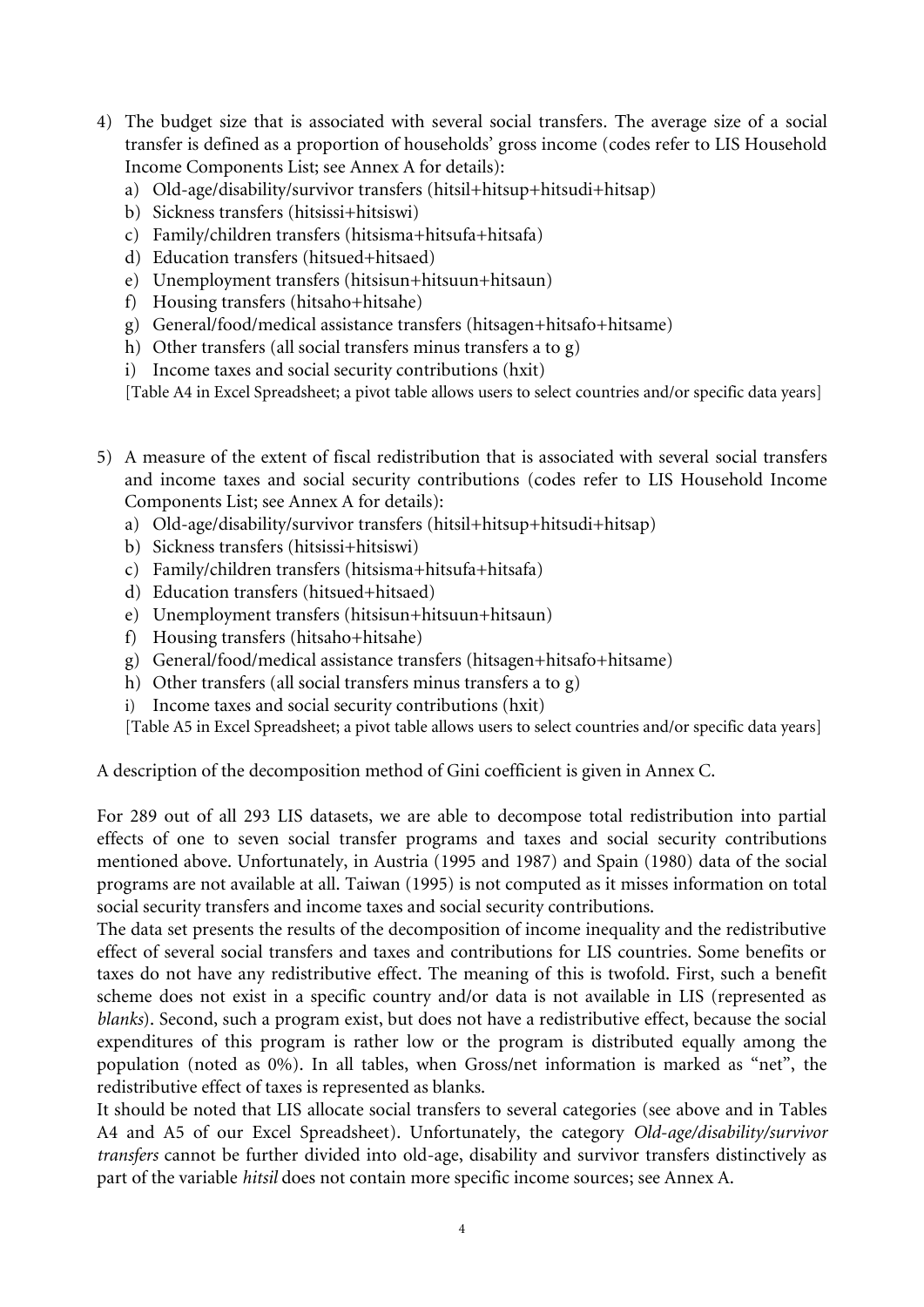- 4) The budget size that is associated with several social transfers. The average size of a social transfer is defined as a proportion of households' gross income (codes refer to LIS Household Income Components List; see Annex A for details):
	- a) Old-age/disability/survivor transfers (hitsil+hitsup+hitsudi+hitsap)
	- b) Sickness transfers (hitsissi+hitsiswi)
	- c) Family/children transfers (hitsisma+hitsufa+hitsafa)
	- d) Education transfers (hitsued+hitsaed)
	- e) Unemployment transfers (hitsisun+hitsuun+hitsaun)
	- f) Housing transfers (hitsaho+hitsahe)
	- g) General/food/medical assistance transfers (hitsagen+hitsafo+hitsame)
	- h) Other transfers (all social transfers minus transfers a to g)
	- i) Income taxes and social security contributions (hxit)

[Table A4 in Excel Spreadsheet; a pivot table allows users to select countries and/or specific data years]

- 5) A measure of the extent of fiscal redistribution that is associated with several social transfers and income taxes and social security contributions (codes refer to LIS Household Income Components List; see Annex A for details):
	- a) Old-age/disability/survivor transfers (hitsil+hitsup+hitsudi+hitsap)
	- b) Sickness transfers (hitsissi+hitsiswi)
	- c) Family/children transfers (hitsisma+hitsufa+hitsafa)
	- d) Education transfers (hitsued+hitsaed)
	- e) Unemployment transfers (hitsisun+hitsuun+hitsaun)
	- f) Housing transfers (hitsaho+hitsahe)
	- g) General/food/medical assistance transfers (hitsagen+hitsafo+hitsame)
	- h) Other transfers (all social transfers minus transfers a to g)
	- i) Income taxes and social security contributions (hxit)

[Table A5 in Excel Spreadsheet; a pivot table allows users to select countries and/or specific data years]

A description of the decomposition method of Gini coefficient is given in Annex C.

For 289 out of all 293 LIS datasets, we are able to decompose total redistribution into partial effects of one to seven social transfer programs and taxes and social security contributions mentioned above. Unfortunately, in Austria (1995 and 1987) and Spain (1980) data of the social programs are not available at all. Taiwan (1995) is not computed as it misses information on total social security transfers and income taxes and social security contributions.

The data set presents the results of the decomposition of income inequality and the redistributive effect of several social transfers and taxes and contributions for LIS countries. Some benefits or taxes do not have any redistributive effect. The meaning of this is twofold. First, such a benefit scheme does not exist in a specific country and/or data is not available in LIS (represented as *blanks*). Second, such a program exist, but does not have a redistributive effect, because the social expenditures of this program is rather low or the program is distributed equally among the population (noted as 0%). In all tables, when Gross/net information is marked as "net", the redistributive effect of taxes is represented as blanks.

It should be noted that LIS allocate social transfers to several categories (see above and in Tables A4 and A5 of our Excel Spreadsheet). Unfortunately, the category *Old-age/disability/survivor transfers* cannot be further divided into old-age, disability and survivor transfers distinctively as part of the variable *hitsil* does not contain more specific income sources; see Annex A.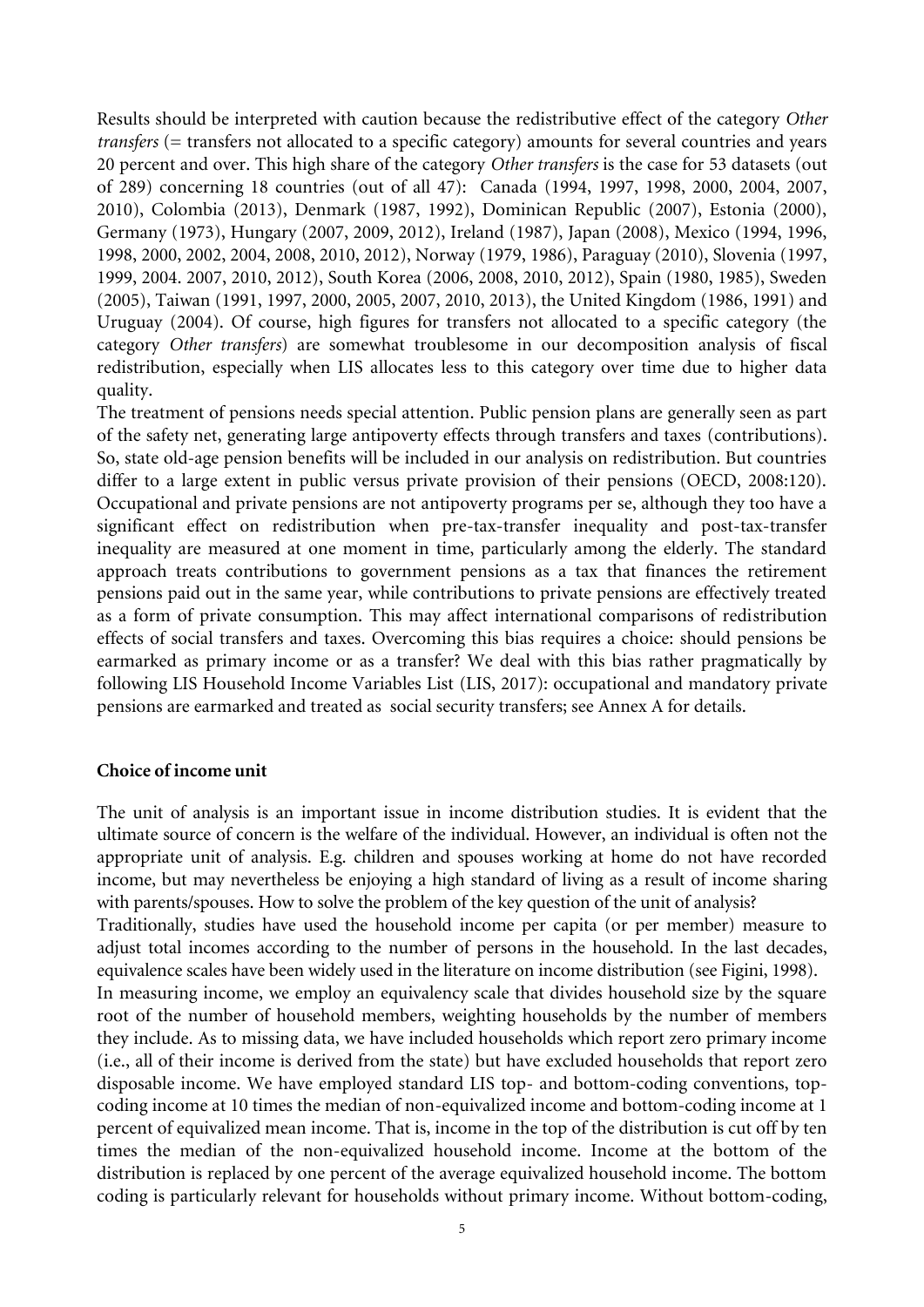Results should be interpreted with caution because the redistributive effect of the category *Other transfers* (= transfers not allocated to a specific category) amounts for several countries and years 20 percent and over. This high share of the category *Other transfers* is the case for 53 datasets (out of 289) concerning 18 countries (out of all 47): Canada (1994, 1997, 1998, 2000, 2004, 2007, 2010), Colombia (2013), Denmark (1987, 1992), Dominican Republic (2007), Estonia (2000), Germany (1973), Hungary (2007, 2009, 2012), Ireland (1987), Japan (2008), Mexico (1994, 1996, 1998, 2000, 2002, 2004, 2008, 2010, 2012), Norway (1979, 1986), Paraguay (2010), Slovenia (1997, 1999, 2004. 2007, 2010, 2012), South Korea (2006, 2008, 2010, 2012), Spain (1980, 1985), Sweden (2005), Taiwan (1991, 1997, 2000, 2005, 2007, 2010, 2013), the United Kingdom (1986, 1991) and Uruguay (2004). Of course, high figures for transfers not allocated to a specific category (the category *Other transfers*) are somewhat troublesome in our decomposition analysis of fiscal redistribution, especially when LIS allocates less to this category over time due to higher data quality.

The treatment of pensions needs special attention. Public pension plans are generally seen as part of the safety net, generating large antipoverty effects through transfers and taxes (contributions). So, state old-age pension benefits will be included in our analysis on redistribution. But countries differ to a large extent in public versus private provision of their pensions (OECD, 2008:120). Occupational and private pensions are not antipoverty programs per se, although they too have a significant effect on redistribution when pre-tax-transfer inequality and post-tax-transfer inequality are measured at one moment in time, particularly among the elderly. The standard approach treats contributions to government pensions as a tax that finances the retirement pensions paid out in the same year, while contributions to private pensions are effectively treated as a form of private consumption. This may affect international comparisons of redistribution effects of social transfers and taxes. Overcoming this bias requires a choice: should pensions be earmarked as primary income or as a transfer? We deal with this bias rather pragmatically by following LIS Household Income Variables List (LIS, 2017): occupational and mandatory private pensions are earmarked and treated as social security transfers; see Annex A for details.

### **Choice of income unit**

The unit of analysis is an important issue in income distribution studies. It is evident that the ultimate source of concern is the welfare of the individual. However, an individual is often not the appropriate unit of analysis. E.g. children and spouses working at home do not have recorded income, but may nevertheless be enjoying a high standard of living as a result of income sharing with parents/spouses. How to solve the problem of the key question of the unit of analysis? Traditionally, studies have used the household income per capita (or per member) measure to adjust total incomes according to the number of persons in the household. In the last decades, equivalence scales have been widely used in the literature on income distribution (see Figini, 1998). In measuring income, we employ an equivalency scale that divides household size by the square root of the number of household members, weighting households by the number of members they include. As to missing data, we have included households which report zero primary income (i.e., all of their income is derived from the state) but have excluded households that report zero disposable income. We have employed standard LIS top- and bottom-coding conventions, topcoding income at 10 times the median of non-equivalized income and bottom-coding income at 1 percent of equivalized mean income. That is, income in the top of the distribution is cut off by ten times the median of the non-equivalized household income. Income at the bottom of the distribution is replaced by one percent of the average equivalized household income. The bottom coding is particularly relevant for households without primary income. Without bottom-coding,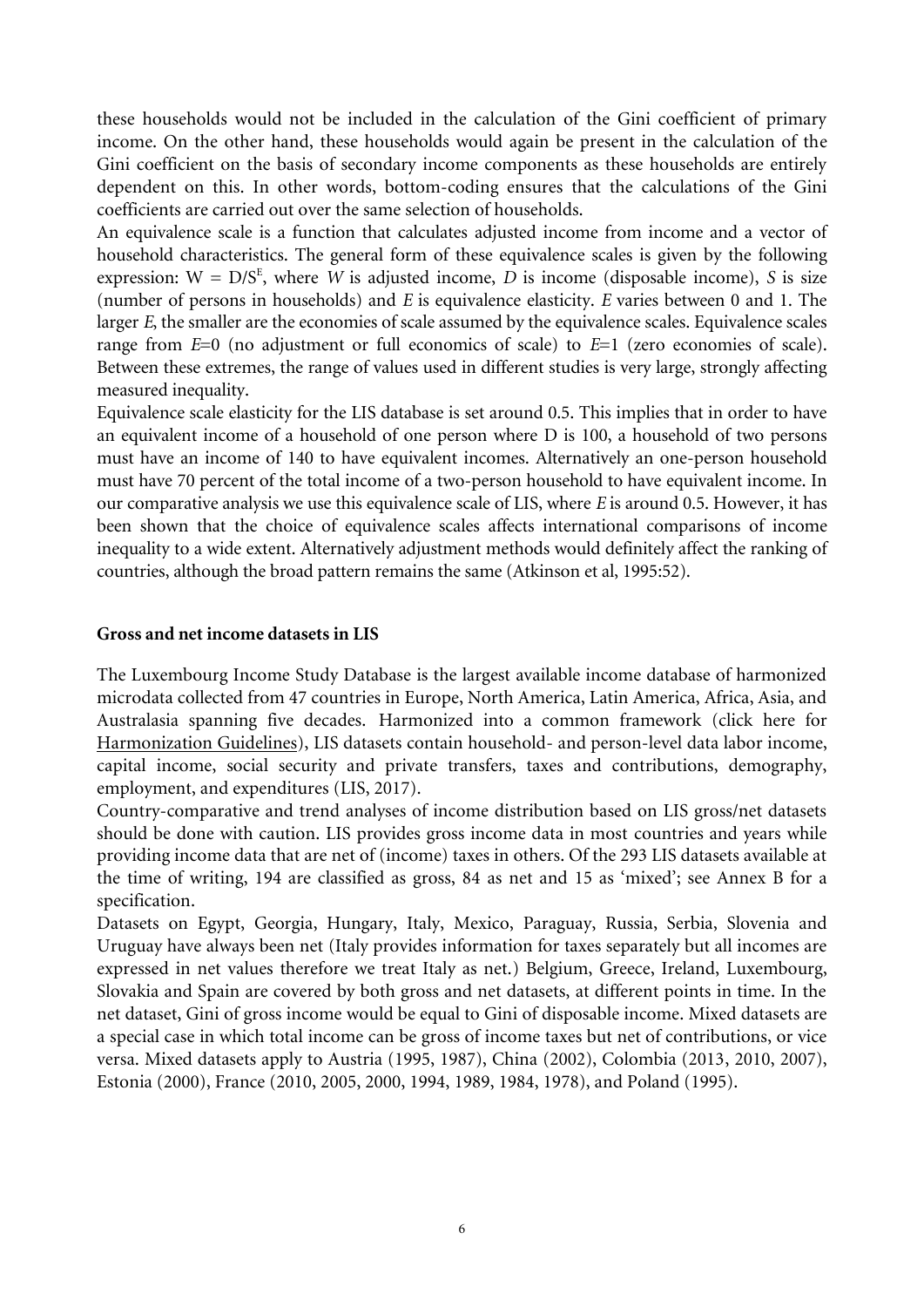these households would not be included in the calculation of the Gini coefficient of primary income. On the other hand, these households would again be present in the calculation of the Gini coefficient on the basis of secondary income components as these households are entirely dependent on this. In other words, bottom-coding ensures that the calculations of the Gini coefficients are carried out over the same selection of households.

An equivalence scale is a function that calculates adjusted income from income and a vector of household characteristics. The general form of these equivalence scales is given by the following expression:  $W = D/S^E$ , where *W* is adjusted income, *D* is income (disposable income), *S* is size (number of persons in households) and *E* is equivalence elasticity. *E* varies between 0 and 1. The larger *E*, the smaller are the economies of scale assumed by the equivalence scales. Equivalence scales range from *E*=0 (no adjustment or full economics of scale) to *E*=1 (zero economies of scale). Between these extremes, the range of values used in different studies is very large, strongly affecting measured inequality.

Equivalence scale elasticity for the LIS database is set around 0.5. This implies that in order to have an equivalent income of a household of one person where D is 100, a household of two persons must have an income of 140 to have equivalent incomes. Alternatively an one-person household must have 70 percent of the total income of a two-person household to have equivalent income. In our comparative analysis we use this equivalence scale of LIS, where *E* is around 0.5. However, it has been shown that the choice of equivalence scales affects international comparisons of income inequality to a wide extent. Alternatively adjustment methods would definitely affect the ranking of countries, although the broad pattern remains the same (Atkinson et al, 1995:52).

### **Gross and net income datasets in LIS**

The Luxembourg Income Study Database is the largest available income database of harmonized microdata collected from 47 countries in Europe, North America, Latin America, Africa, Asia, and Australasia spanning five decades. Harmonized into a common framework [\(click here for](http://www.lisdatacenter.org/wp-content/uploads/our-lis-documentation-harmonisation-guidelines.pdf)  [Harmonization Guidelines\),](http://www.lisdatacenter.org/wp-content/uploads/our-lis-documentation-harmonisation-guidelines.pdf) LIS datasets contain household- and person-level data labor income, capital income, social security and private transfers, taxes and contributions, demography, employment, and expenditures (LIS, 2017).

Country-comparative and trend analyses of income distribution based on LIS gross/net datasets should be done with caution. LIS provides gross income data in most countries and years while providing income data that are net of (income) taxes in others. Of the 293 LIS datasets available at the time of writing, 194 are classified as gross, 84 as net and 15 as 'mixed'; see Annex B for a specification.

Datasets on Egypt, Georgia, Hungary, Italy, Mexico, Paraguay, Russia, Serbia, Slovenia and Uruguay have always been net (Italy provides information for taxes separately but all incomes are expressed in net values therefore we treat Italy as net.) Belgium, Greece, Ireland, Luxembourg, Slovakia and Spain are covered by both gross and net datasets, at different points in time. In the net dataset, Gini of gross income would be equal to Gini of disposable income. Mixed datasets are a special case in which total income can be gross of income taxes but net of contributions, or vice versa. Mixed datasets apply to Austria (1995, 1987), China (2002), Colombia (2013, 2010, 2007), Estonia (2000), France (2010, 2005, 2000, 1994, 1989, 1984, 1978), and Poland (1995).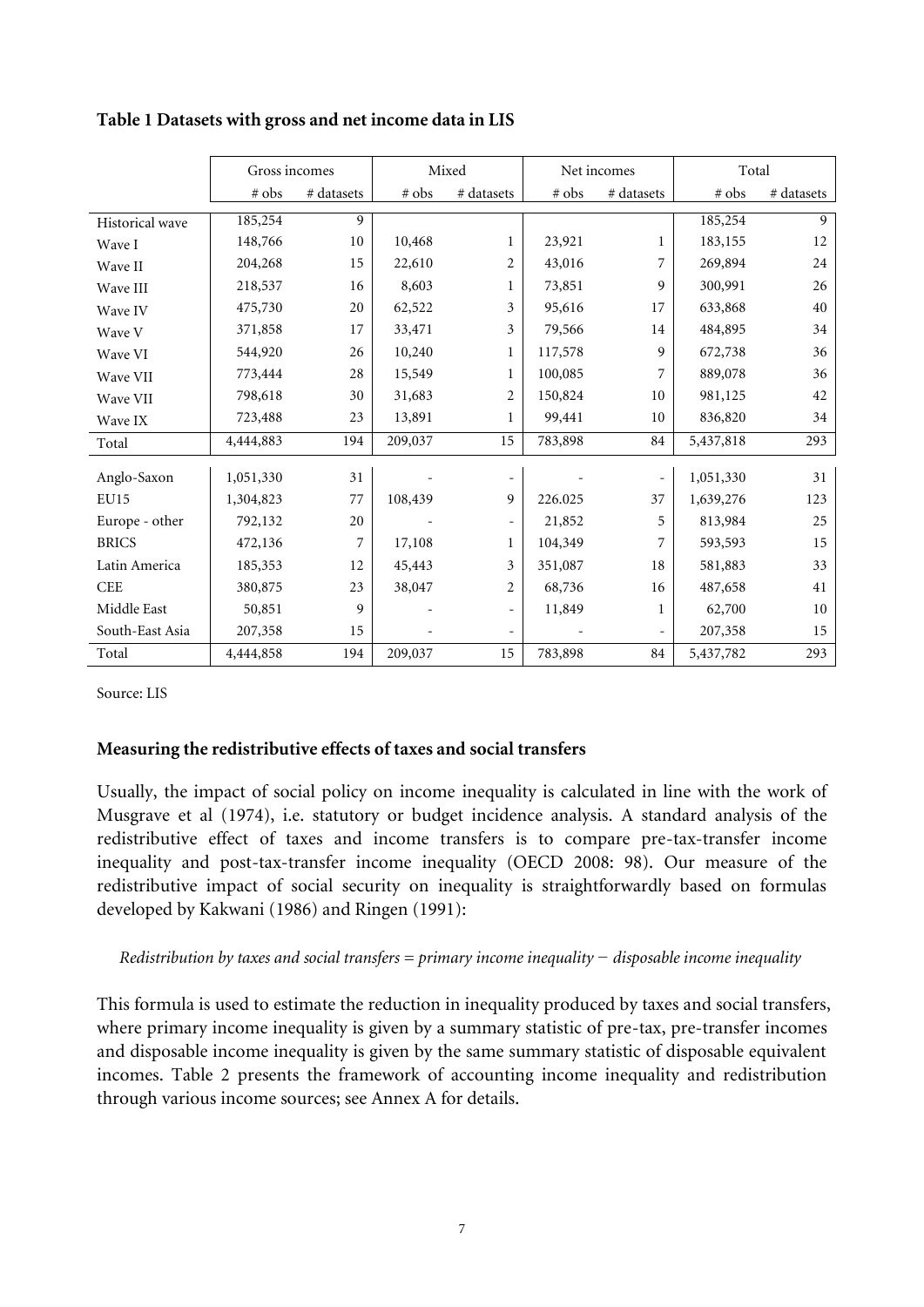|                 | Gross incomes |               |         | Mixed                    |         | Net incomes | Total     |            |
|-----------------|---------------|---------------|---------|--------------------------|---------|-------------|-----------|------------|
|                 | # obs         | $\#$ datasets | # obs   | # datasets               | # obs   | # datasets  | # obs     | # datasets |
| Historical wave | 185,254       | 9             |         |                          |         |             | 185,254   | 9          |
| Wave I          | 148,766       | 10            | 10,468  | $\mathbf{1}$             | 23,921  | 1           | 183,155   | 12         |
| Wave II         | 204,268       | 15            | 22,610  | $\overline{2}$           | 43,016  | 7           | 269,894   | 24         |
| Wave III        | 218,537       | 16            | 8,603   | $\mathbf{1}$             | 73,851  | 9           | 300,991   | 26         |
| Wave IV         | 475,730       | 20            | 62,522  | 3                        | 95,616  | 17          | 633,868   | 40         |
| Wave V          | 371,858       | 17            | 33,471  | 3                        | 79,566  | 14          | 484,895   | 34         |
| Wave VI         | 544,920       | 26            | 10,240  | $\mathbf 1$              | 117,578 | 9           | 672,738   | 36         |
| Wave VII        | 773,444       | 28            | 15,549  | $\mathbf{1}$             | 100,085 | 7           | 889,078   | 36         |
| Wave VII        | 798,618       | 30            | 31,683  | $\overline{2}$           | 150,824 | 10          | 981,125   | 42         |
| Wave IX         | 723,488       | 23            | 13,891  | $\mathbf 1$              | 99,441  | 10          | 836,820   | 34         |
| Total           | 4,444,883     | 194           | 209,037 | 15                       | 783,898 | 84          | 5,437,818 | 293        |
| Anglo-Saxon     | 1,051,330     | 31            |         | $\overline{\phantom{0}}$ |         |             | 1,051,330 | 31         |
| <b>EU15</b>     | 1,304,823     | 77            | 108,439 | 9                        | 226.025 | 37          | 1,639,276 | 123        |
| Europe - other  | 792,132       | 20            |         | $\overline{\phantom{0}}$ | 21,852  | 5           | 813,984   | 25         |
| <b>BRICS</b>    | 472,136       | 7             | 17,108  | $\mathbf 1$              | 104,349 | 7           | 593,593   | 15         |
| Latin America   | 185,353       | 12            | 45,443  | 3                        | 351,087 | 18          | 581,883   | 33         |
| CEE             | 380,875       | 23            | 38,047  | 2                        | 68,736  | 16          | 487,658   | 41         |
| Middle East     | 50,851        | 9             |         | $\overline{\phantom{0}}$ | 11,849  | 1           | 62,700    | 10         |
| South-East Asia | 207,358       | 15            |         | $\overline{\phantom{0}}$ |         |             | 207,358   | 15         |
| Total           | 4,444,858     | 194           | 209,037 | 15                       | 783,898 | 84          | 5,437,782 | 293        |

# **Table 1 Datasets with gross and net income data in LIS**

Source: LIS

## **Measuring the redistributive effects of taxes and social transfers**

Usually, the impact of social policy on income inequality is calculated in line with the work of Musgrave et al (1974), i.e. statutory or budget incidence analysis. A standard analysis of the redistributive effect of taxes and income transfers is to compare pre-tax-transfer income inequality and post-tax-transfer income inequality (OECD 2008: 98). Our measure of the redistributive impact of social security on inequality is straightforwardly based on formulas developed by Kakwani (1986) and Ringen (1991):

## *Redistribution by taxes and social transfers = primary income inequality − disposable income inequality*

This formula is used to estimate the reduction in inequality produced by taxes and social transfers, where primary income inequality is given by a summary statistic of pre-tax, pre-transfer incomes and disposable income inequality is given by the same summary statistic of disposable equivalent incomes. Table 2 presents the framework of accounting income inequality and redistribution through various income sources; see Annex A for details.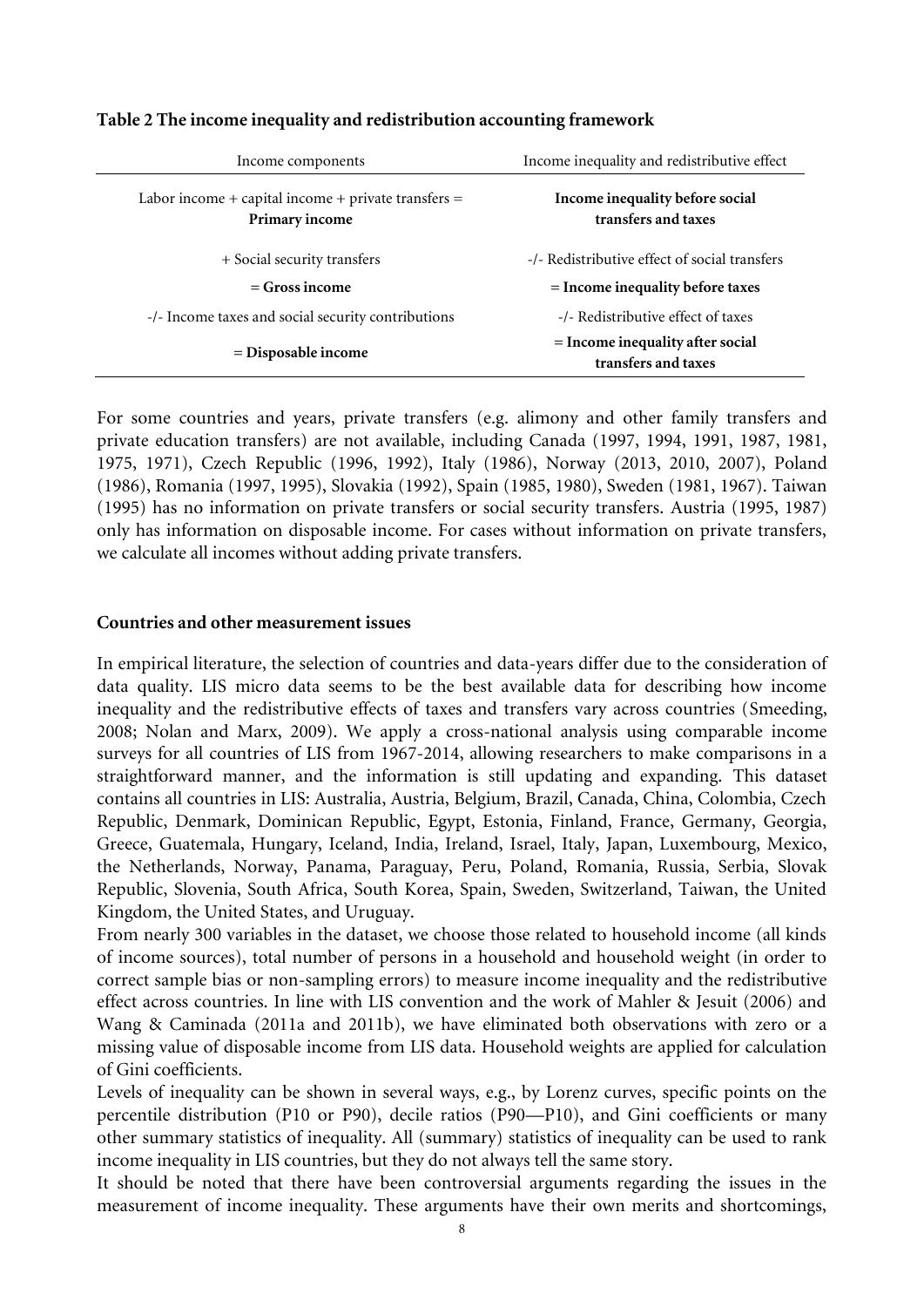| Income components                                                       | Income inequality and redistributive effect               |
|-------------------------------------------------------------------------|-----------------------------------------------------------|
| Labor income + capital income + private transfers $=$<br>Primary income | Income inequality before social<br>transfers and taxes    |
| + Social security transfers                                             | -/- Redistributive effect of social transfers             |
| $=$ Gross income                                                        | $=$ Income inequality before taxes                        |
| -/- Income taxes and social security contributions                      | -/- Redistributive effect of taxes                        |
| $=$ Disposable income                                                   | $=$ Income inequality after social<br>transfers and taxes |

## **Table 2 The income inequality and redistribution accounting framework**

For some countries and years, private transfers (e.g. alimony and other family transfers and private education transfers) are not available, including Canada (1997, 1994, 1991, 1987, 1981, 1975, 1971), Czech Republic (1996, 1992), Italy (1986), Norway (2013, 2010, 2007), Poland (1986), Romania (1997, 1995), Slovakia (1992), Spain (1985, 1980), Sweden (1981, 1967). Taiwan (1995) has no information on private transfers or social security transfers. Austria (1995, 1987) only has information on disposable income. For cases without information on private transfers, we calculate all incomes without adding private transfers.

## **Countries and other measurement issues**

In empirical literature, the selection of countries and data-years differ due to the consideration of data quality. LIS micro data seems to be the best available data for describing how income inequality and the redistributive effects of taxes and transfers vary across countries (Smeeding, 2008; Nolan and Marx, 2009). We apply a cross-national analysis using comparable income surveys for all countries of LIS from 1967-2014, allowing researchers to make comparisons in a straightforward manner, and the information is still updating and expanding. This dataset contains all countries in LIS: Australia, Austria, Belgium, Brazil, Canada, China, Colombia, Czech Republic, Denmark, Dominican Republic, Egypt, Estonia, Finland, France, Germany, Georgia, Greece, Guatemala, Hungary, Iceland, India, Ireland, Israel, Italy, Japan, Luxembourg, Mexico, the Netherlands, Norway, Panama, Paraguay, Peru, Poland, Romania, Russia, Serbia, Slovak Republic, Slovenia, South Africa, South Korea, Spain, Sweden, Switzerland, Taiwan, the United Kingdom, the United States, and Uruguay.

From nearly 300 variables in the dataset, we choose those related to household income (all kinds of income sources), total number of persons in a household and household weight (in order to correct sample bias or non-sampling errors) to measure income inequality and the redistributive effect across countries. In line with LIS convention and the work of Mahler & Jesuit (2006) and Wang & Caminada (2011a and 2011b), we have eliminated both observations with zero or a missing value of disposable income from LIS data. Household weights are applied for calculation of Gini coefficients.

Levels of inequality can be shown in several ways, e.g., by Lorenz curves, specific points on the percentile distribution (P10 or P90), decile ratios (P90—P10), and Gini coefficients or many other summary statistics of inequality. All (summary) statistics of inequality can be used to rank income inequality in LIS countries, but they do not always tell the same story.

It should be noted that there have been controversial arguments regarding the issues in the measurement of income inequality. These arguments have their own merits and shortcomings,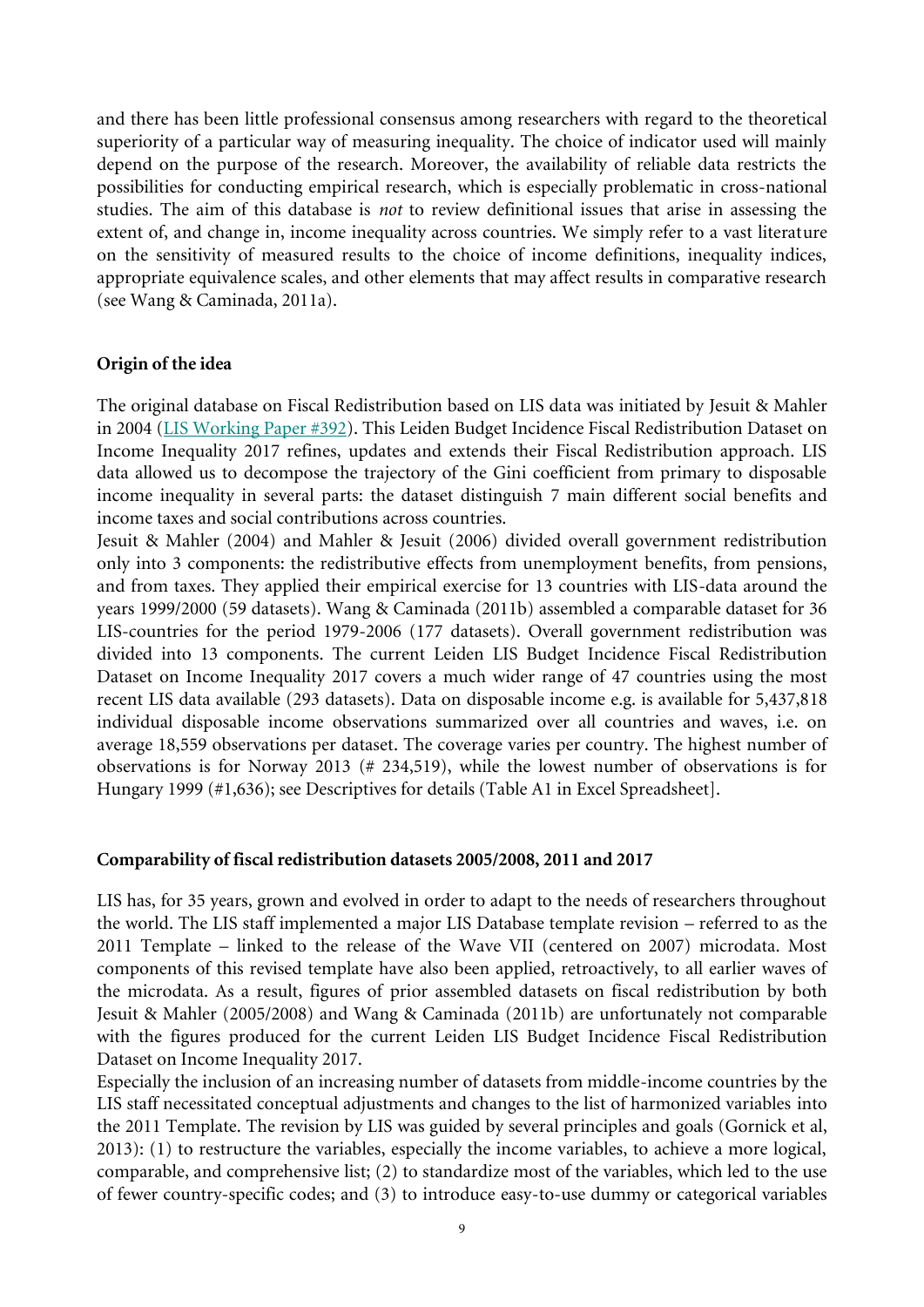and there has been little professional consensus among researchers with regard to the theoretical superiority of a particular way of measuring inequality. The choice of indicator used will mainly depend on the purpose of the research. Moreover, the availability of reliable data restricts the possibilities for conducting empirical research, which is especially problematic in cross-national studies. The aim of this database is *not* to review definitional issues that arise in assessing the extent of, and change in, income inequality across countries. We simply refer to a vast literature on the sensitivity of measured results to the choice of income definitions, inequality indices, appropriate equivalence scales, and other elements that may affect results in comparative research (see Wang & Caminada, 2011a).

### **Origin of the idea**

The original database on Fiscal Redistribution based on LIS data was initiated by Jesuit & Mahler in 2004 [\(LIS Working Paper #392\)](http://www.lisproject.org/publications/liswps/392.pdf). This Leiden Budget Incidence Fiscal Redistribution Dataset on Income Inequality 2017 refines, updates and extends their Fiscal Redistribution approach. LIS data allowed us to decompose the trajectory of the Gini coefficient from primary to disposable income inequality in several parts: the dataset distinguish 7 main different social benefits and income taxes and social contributions across countries.

Jesuit & Mahler (2004) and Mahler & Jesuit (2006) divided overall government redistribution only into 3 components: the redistributive effects from unemployment benefits, from pensions, and from taxes. They applied their empirical exercise for 13 countries with LIS-data around the years 1999/2000 (59 datasets). Wang & Caminada (2011b) assembled a comparable dataset for 36 LIS-countries for the period 1979-2006 (177 datasets). Overall government redistribution was divided into 13 components. The current Leiden LIS Budget Incidence Fiscal Redistribution Dataset on Income Inequality 2017 covers a much wider range of 47 countries using the most recent LIS data available (293 datasets). Data on disposable income e.g. is available for 5,437,818 individual disposable income observations summarized over all countries and waves, i.e. on average 18,559 observations per dataset. The coverage varies per country. The highest number of observations is for Norway 2013 (# 234,519), while the lowest number of observations is for Hungary 1999 (#1,636); see Descriptives for details (Table A1 in Excel Spreadsheet].

### **Comparability of fiscal redistribution datasets 2005/2008, 2011 and 2017**

LIS has, for 35 years, grown and evolved in order to adapt to the needs of researchers throughout the world. The LIS staff implemented a major LIS Database template revision – referred to as the 2011 Template – linked to the release of the Wave VII (centered on 2007) microdata. Most components of this revised template have also been applied, retroactively, to all earlier waves of the microdata. As a result, figures of prior assembled datasets on fiscal redistribution by both Jesuit & Mahler (2005/2008) and Wang & Caminada (2011b) are unfortunately not comparable with the figures produced for the current Leiden LIS Budget Incidence Fiscal Redistribution Dataset on Income Inequality 2017.

Especially the inclusion of an increasing number of datasets from middle-income countries by the LIS staff necessitated conceptual adjustments and changes to the list of harmonized variables into the 2011 Template. The revision by LIS was guided by several principles and goals (Gornick et al, 2013): (1) to restructure the variables, especially the income variables, to achieve a more logical, comparable, and comprehensive list; (2) to standardize most of the variables, which led to the use of fewer country-specific codes; and (3) to introduce easy-to-use dummy or categorical variables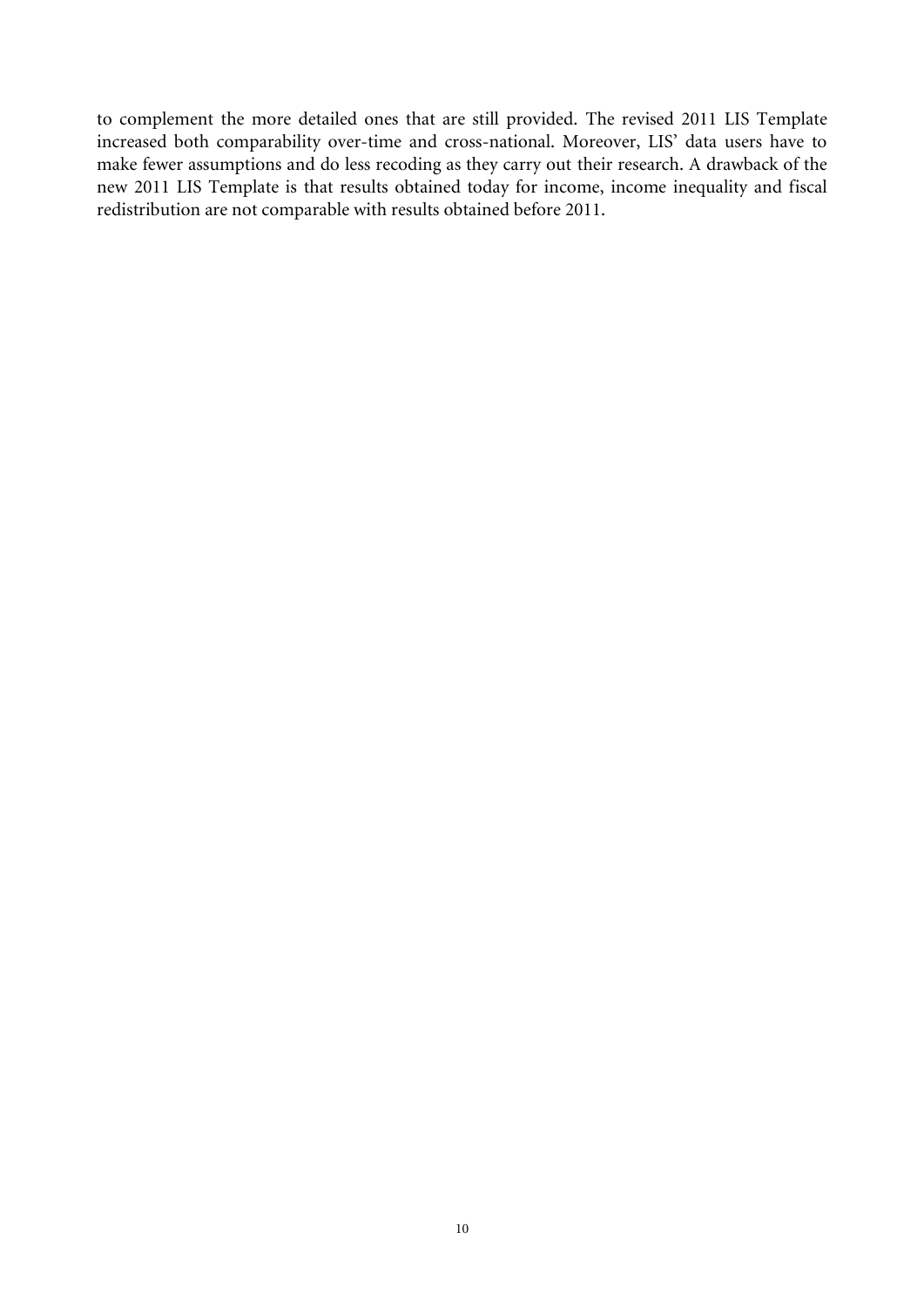to complement the more detailed ones that are still provided. The revised 2011 LIS Template increased both comparability over-time and cross-national. Moreover, LIS' data users have to make fewer assumptions and do less recoding as they carry out their research. A drawback of the new 2011 LIS Template is that results obtained today for income, income inequality and fiscal redistribution are not comparable with results obtained before 2011.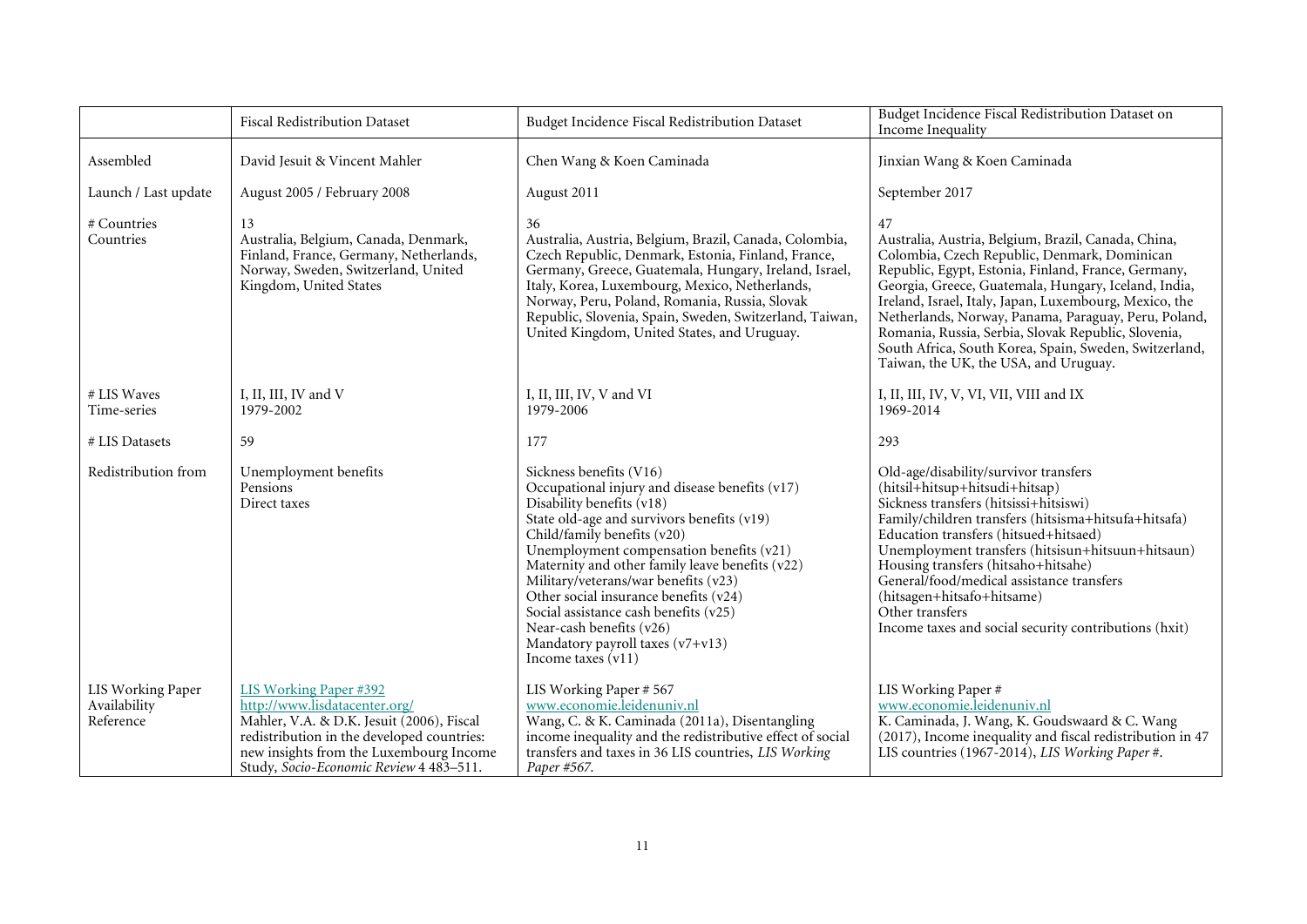|                            |                          | <b>Fiscal Redistribution Dataset</b>                                                                                                                                                                                                            | Budget Incidence Fiscal Redistribution Dataset                                                                                                                                                                                                                                                                                                                                                                                                                                                       | Budget Incidence Fiscal Redistribution Dataset on<br>Income Inequality                                                                                                                                                                                                                                                                                                                                                                                                                               |
|----------------------------|--------------------------|-------------------------------------------------------------------------------------------------------------------------------------------------------------------------------------------------------------------------------------------------|------------------------------------------------------------------------------------------------------------------------------------------------------------------------------------------------------------------------------------------------------------------------------------------------------------------------------------------------------------------------------------------------------------------------------------------------------------------------------------------------------|------------------------------------------------------------------------------------------------------------------------------------------------------------------------------------------------------------------------------------------------------------------------------------------------------------------------------------------------------------------------------------------------------------------------------------------------------------------------------------------------------|
| Assembled                  |                          | David Jesuit & Vincent Mahler                                                                                                                                                                                                                   | Chen Wang & Koen Caminada                                                                                                                                                                                                                                                                                                                                                                                                                                                                            | Jinxian Wang & Koen Caminada                                                                                                                                                                                                                                                                                                                                                                                                                                                                         |
|                            | Launch / Last update     | August 2005 / February 2008                                                                                                                                                                                                                     | August 2011                                                                                                                                                                                                                                                                                                                                                                                                                                                                                          | September 2017                                                                                                                                                                                                                                                                                                                                                                                                                                                                                       |
| # Countries<br>Countries   |                          | 13<br>Australia, Belgium, Canada, Denmark,<br>Finland, France, Germany, Netherlands,<br>Norway, Sweden, Switzerland, United<br>Kingdom, United States                                                                                           | 36<br>Australia, Austria, Belgium, Brazil, Canada, Colombia,<br>Czech Republic, Denmark, Estonia, Finland, France,<br>Germany, Greece, Guatemala, Hungary, Ireland, Israel,<br>Italy, Korea, Luxembourg, Mexico, Netherlands,<br>Norway, Peru, Poland, Romania, Russia, Slovak<br>Republic, Slovenia, Spain, Sweden, Switzerland, Taiwan,<br>United Kingdom, United States, and Uruguay.                                                                                                             | 47<br>Australia, Austria, Belgium, Brazil, Canada, China,<br>Colombia, Czech Republic, Denmark, Dominican<br>Republic, Egypt, Estonia, Finland, France, Germany,<br>Georgia, Greece, Guatemala, Hungary, Iceland, India,<br>Ireland, Israel, Italy, Japan, Luxembourg, Mexico, the<br>Netherlands, Norway, Panama, Paraguay, Peru, Poland,<br>Romania, Russia, Serbia, Slovak Republic, Slovenia,<br>South Africa, South Korea, Spain, Sweden, Switzerland,<br>Taiwan, the UK, the USA, and Uruguay. |
| # LIS Waves<br>Time-series |                          | I, II, III, IV and V<br>1979-2002                                                                                                                                                                                                               | I, II, III, IV, V and VI<br>1979-2006                                                                                                                                                                                                                                                                                                                                                                                                                                                                | I, II, III, IV, V, VI, VII, VIII and IX<br>1969-2014                                                                                                                                                                                                                                                                                                                                                                                                                                                 |
| # LIS Datasets             |                          | 59                                                                                                                                                                                                                                              | 177                                                                                                                                                                                                                                                                                                                                                                                                                                                                                                  | 293                                                                                                                                                                                                                                                                                                                                                                                                                                                                                                  |
|                            | Redistribution from      | Unemployment benefits<br>Pensions<br>Direct taxes                                                                                                                                                                                               | Sickness benefits (V16)<br>Occupational injury and disease benefits (v17)<br>Disability benefits (v18)<br>State old-age and survivors benefits (v19)<br>Child/family benefits (v20)<br>Unemployment compensation benefits (v21)<br>Maternity and other family leave benefits (v22)<br>Military/veterans/war benefits (v23)<br>Other social insurance benefits (v24)<br>Social assistance cash benefits (v25)<br>Near-cash benefits (v26)<br>Mandatory payroll taxes (v7+v13)<br>Income taxes $(v11)$ | Old-age/disability/survivor transfers<br>(hitsil+hitsup+hitsudi+hitsap)<br>Sickness transfers (hitsissi+hitsiswi)<br>Family/children transfers (hitsisma+hitsufa+hitsafa)<br>Education transfers (hitsued+hitsaed)<br>Unemployment transfers (hitsisun+hitsuun+hitsaun)<br>Housing transfers (hitsaho+hitsahe)<br>General/food/medical assistance transfers<br>(hitsagen+hitsafo+hitsame)<br>Other transfers<br>Income taxes and social security contributions (hxit)                                |
| Availability<br>Reference  | <b>LIS Working Paper</b> | <b>LIS Working Paper #392</b><br>http://www.lisdatacenter.org/<br>Mahler, V.A. & D.K. Jesuit (2006), Fiscal<br>redistribution in the developed countries:<br>new insights from the Luxembourg Income<br>Study, Socio-Economic Review 4 483-511. | LIS Working Paper # 567<br>www.economie.leidenuniv.nl<br>Wang, C. & K. Caminada (2011a), Disentangling<br>income inequality and the redistributive effect of social<br>transfers and taxes in 36 LIS countries, LIS Working<br>Paper #567.                                                                                                                                                                                                                                                           | LIS Working Paper#<br>www.economie.leidenuniv.nl<br>K. Caminada, J. Wang, K. Goudswaard & C. Wang<br>(2017), Income inequality and fiscal redistribution in 47<br>LIS countries (1967-2014), LIS Working Paper#.                                                                                                                                                                                                                                                                                     |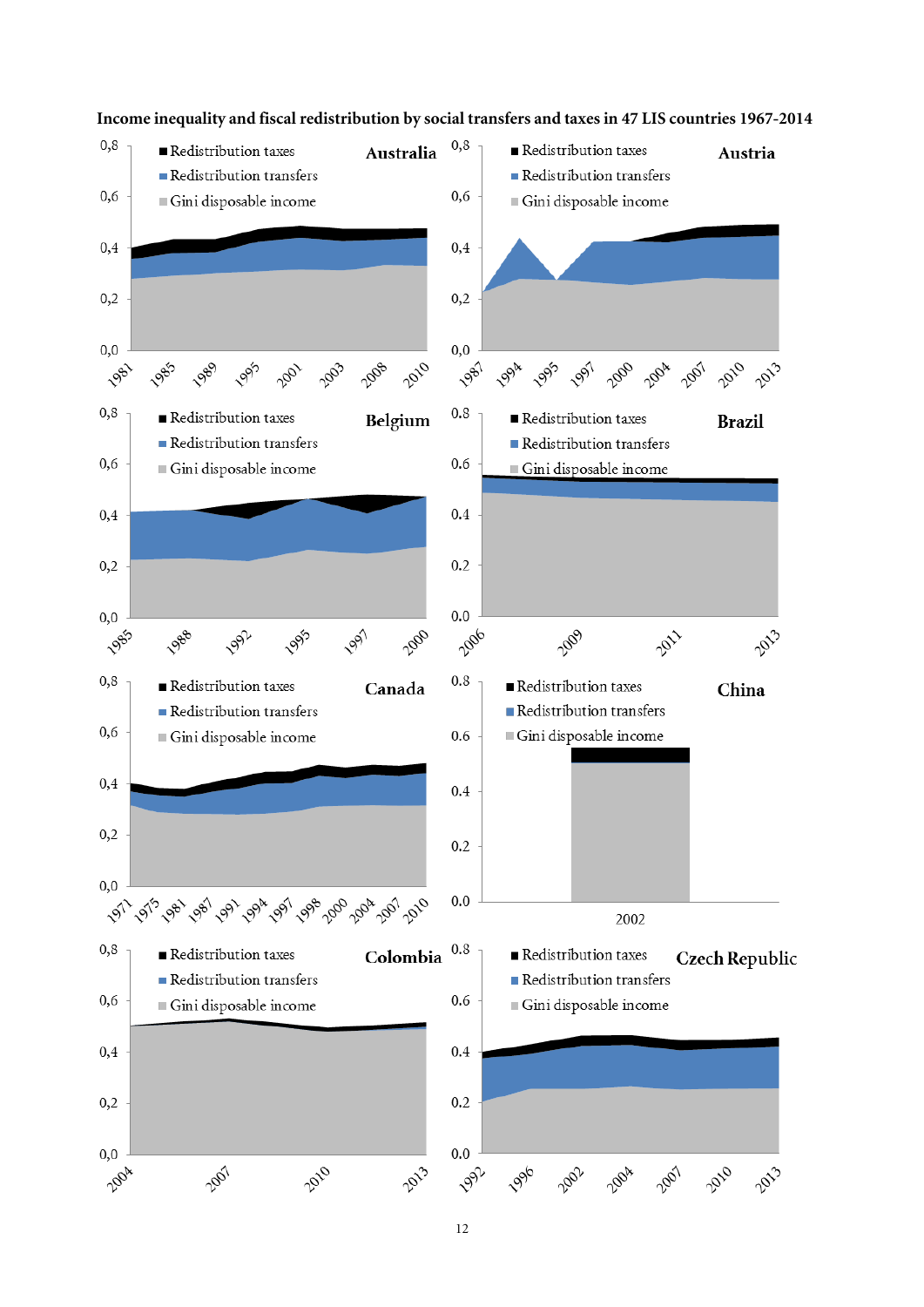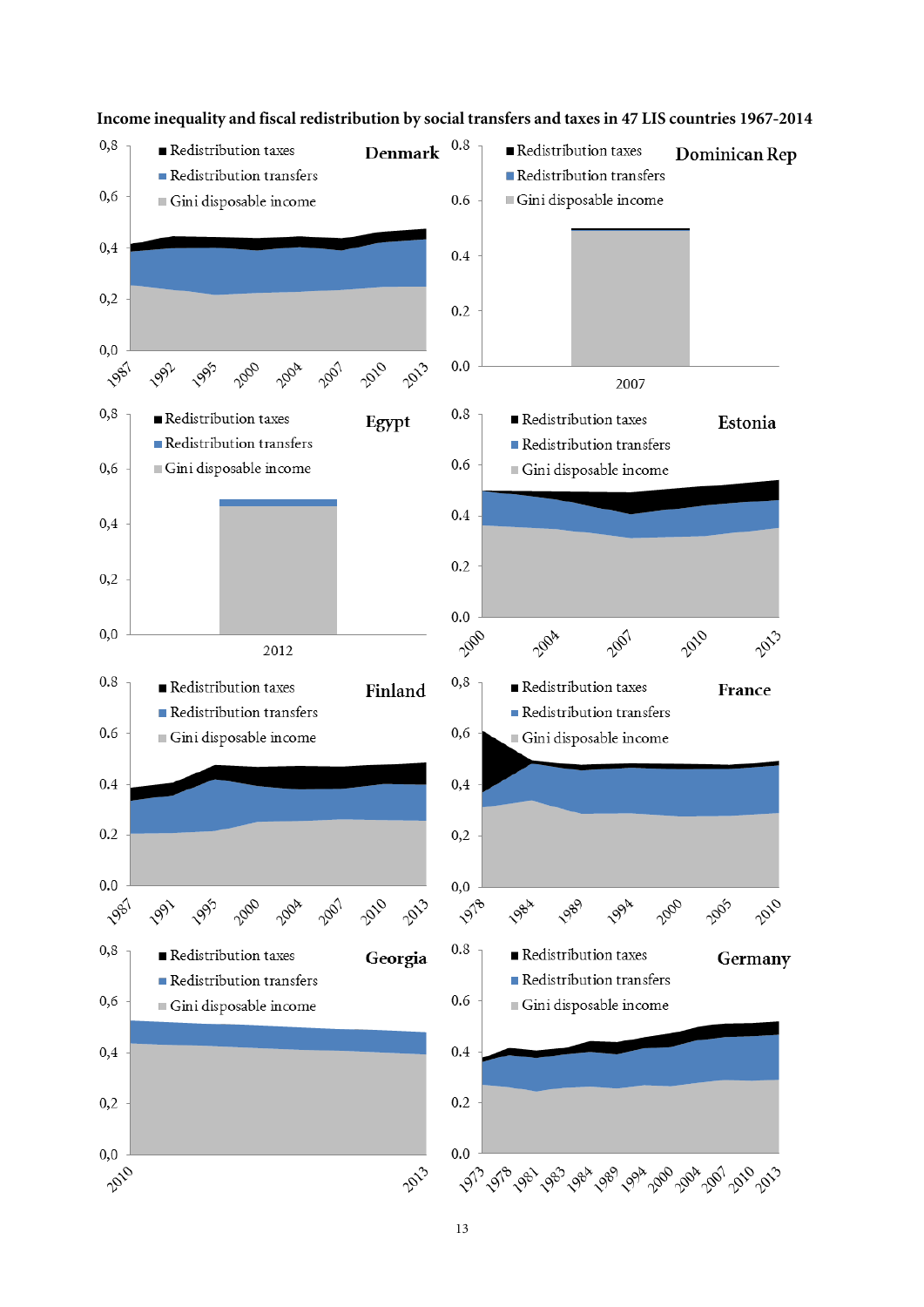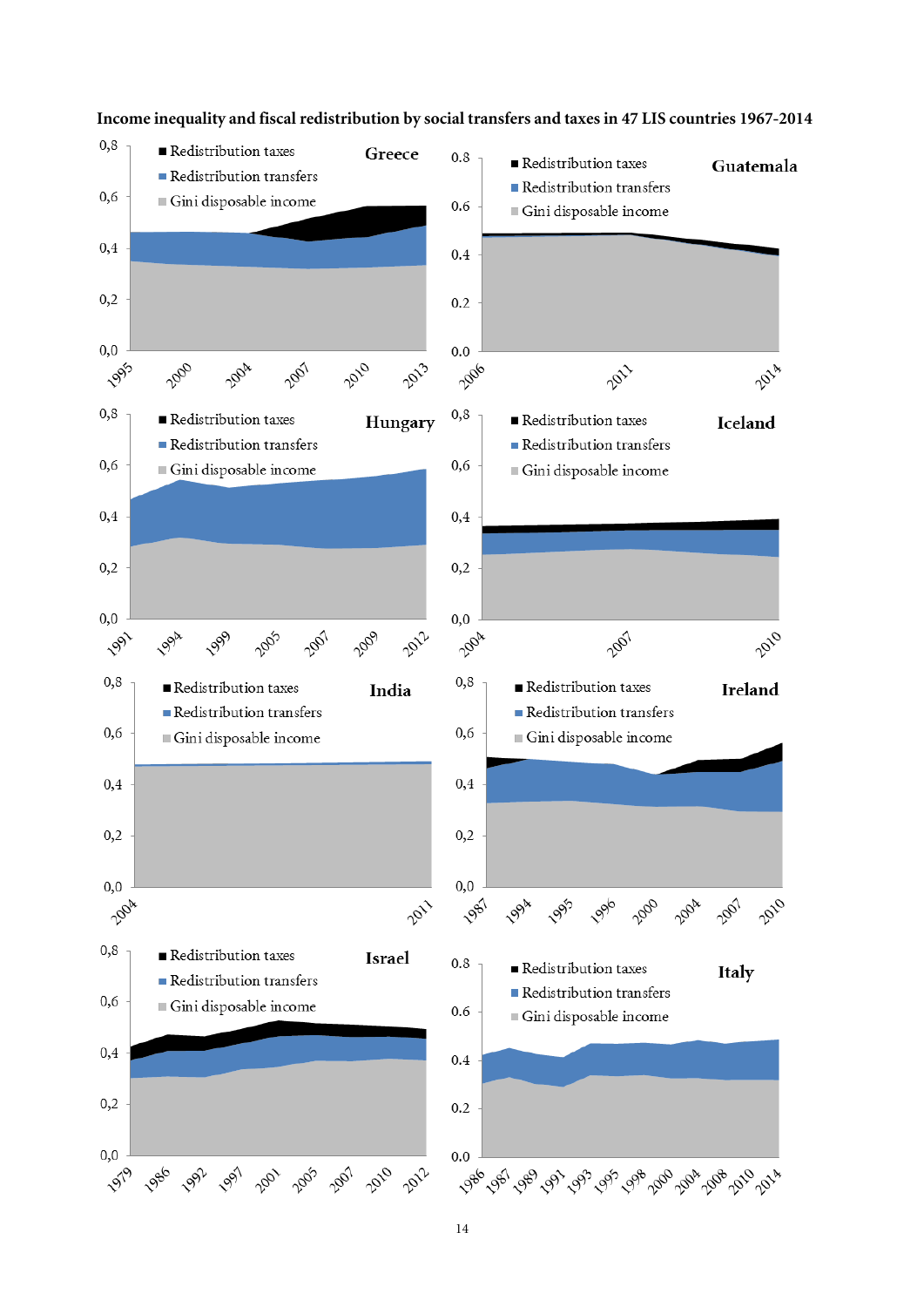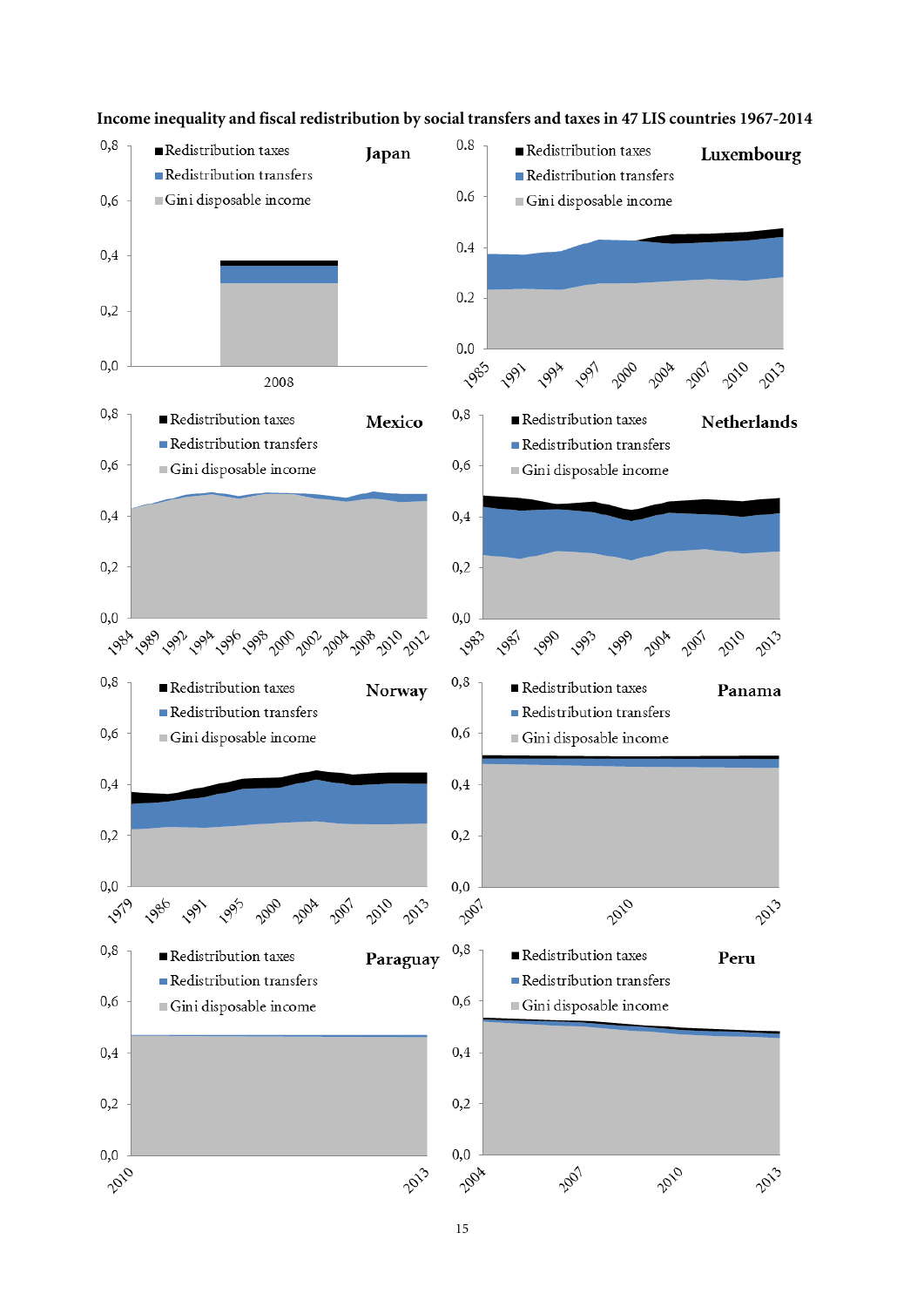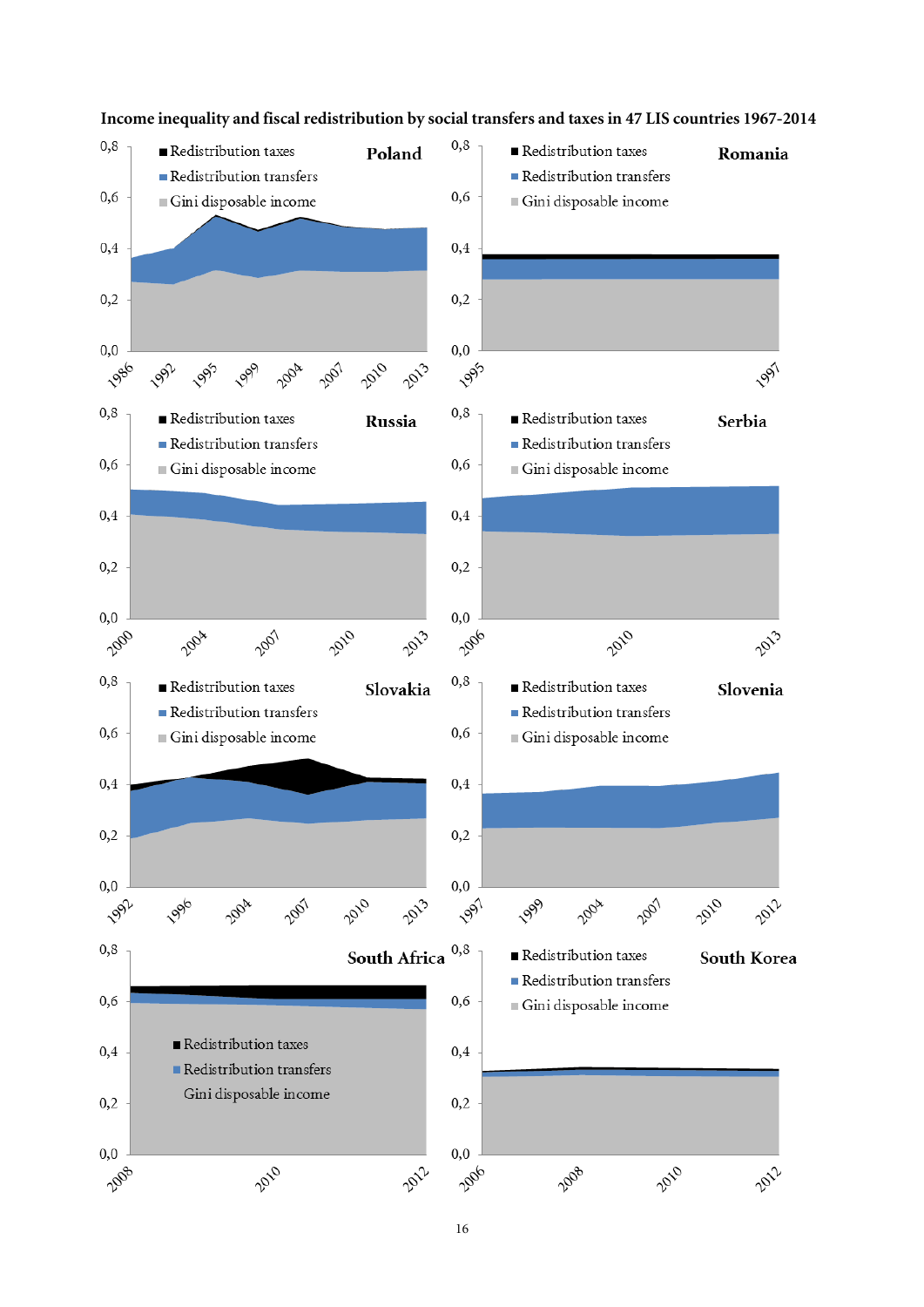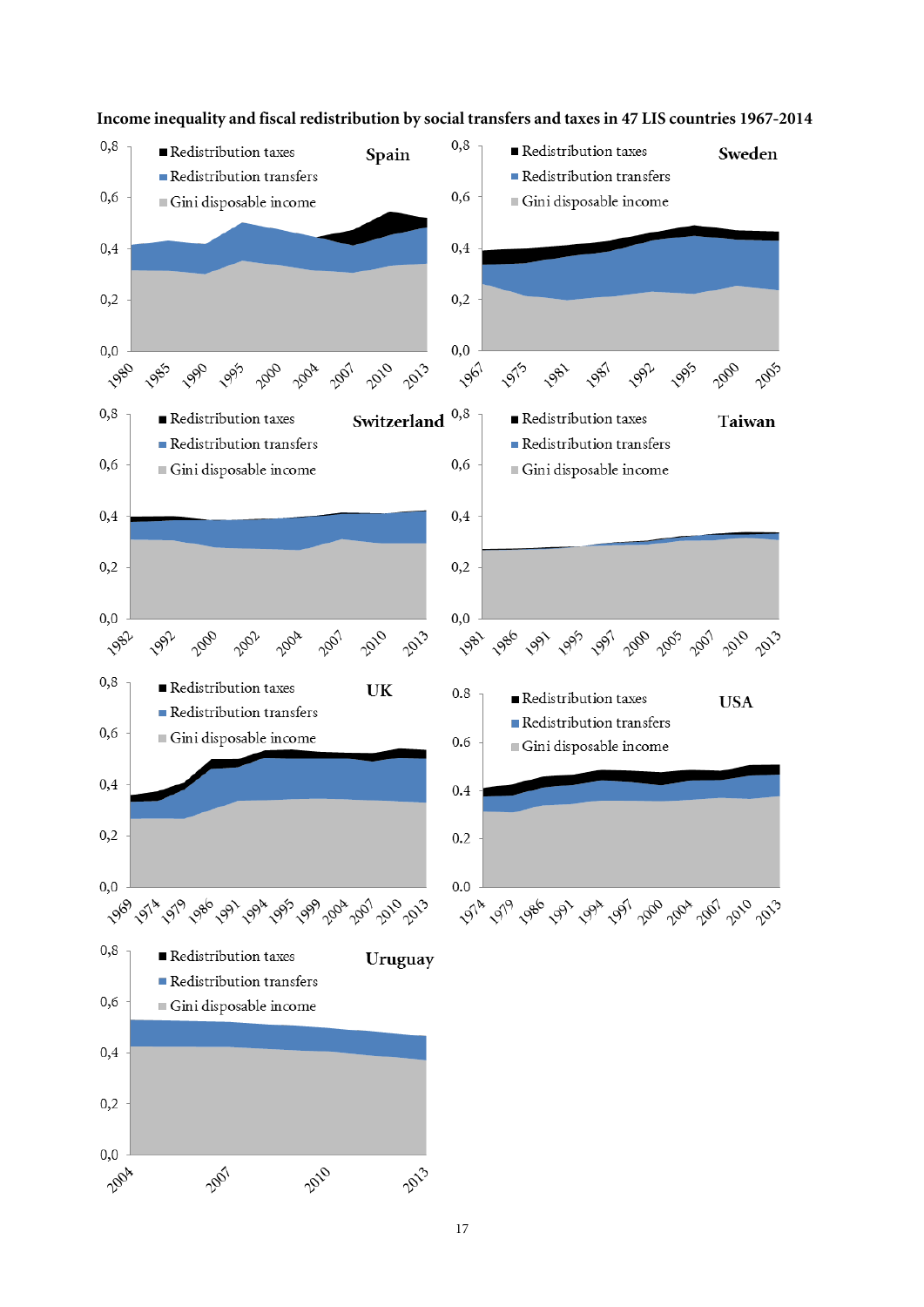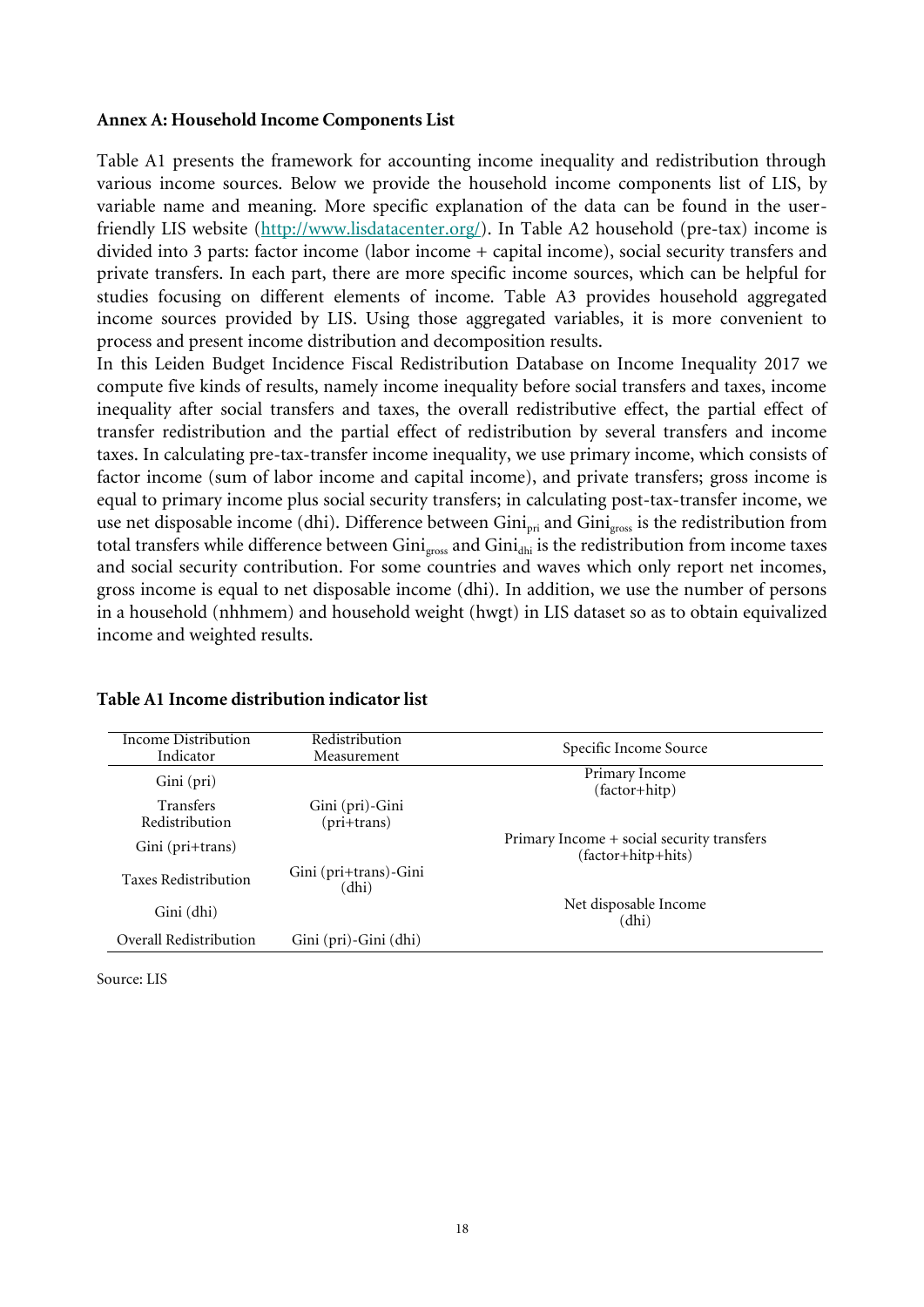#### **Annex A: Household Income Components List**

Table A1 presents the framework for accounting income inequality and redistribution through various income sources. Below we provide the household income components list of LIS, by variable name and meaning. More specific explanation of the data can be found in the userfriendly LIS website [\(http://www.lisdatacenter.org/\)](http://www.lisdatacenter.org/). In Table A2 household (pre-tax) income is divided into 3 parts: factor income (labor income + capital income), social security transfers and private transfers. In each part, there are more specific income sources, which can be helpful for studies focusing on different elements of income. Table A3 provides household aggregated income sources provided by LIS. Using those aggregated variables, it is more convenient to process and present income distribution and decomposition results.

In this Leiden Budget Incidence Fiscal Redistribution Database on Income Inequality 2017 we compute five kinds of results, namely income inequality before social transfers and taxes, income inequality after social transfers and taxes, the overall redistributive effect, the partial effect of transfer redistribution and the partial effect of redistribution by several transfers and income taxes. In calculating pre-tax-transfer income inequality, we use primary income, which consists of factor income (sum of labor income and capital income), and private transfers; gross income is equal to primary income plus social security transfers; in calculating post-tax-transfer income, we use net disposable income (dhi). Difference between Gini<sub>pri</sub> and Gini<sub>gross</sub> is the redistribution from total transfers while difference between  $Gini_{\text{gross}}$  and  $Gini_{\text{dhi}}$  is the redistribution from income taxes and social security contribution. For some countries and waves which only report net incomes, gross income is equal to net disposable income (dhi). In addition, we use the number of persons in a household (nhhmem) and household weight (hwgt) in LIS dataset so as to obtain equivalized income and weighted results.

| Income Distribution<br>Indicator | Redistribution<br>Measurement    | Specific Income Source                                           |
|----------------------------------|----------------------------------|------------------------------------------------------------------|
| Gini (pri)                       |                                  | Primary Income<br>(factor+hitp)                                  |
| Transfers<br>Redistribution      | Gini (pri)-Gini<br>$(pri+trans)$ |                                                                  |
| Gini (pri+trans)                 |                                  | Primary Income + social security transfers<br>(factor+hitp+hits) |
| <b>Taxes Redistribution</b>      | Gini (pri+trans)-Gini<br>(dhi)   |                                                                  |
| Gini (dhi)                       |                                  | Net disposable Income<br>(dhi)                                   |
| Overall Redistribution           | Gini (pri)-Gini (dhi)            |                                                                  |

#### **Table A1 Income distribution indicator list**

Source: LIS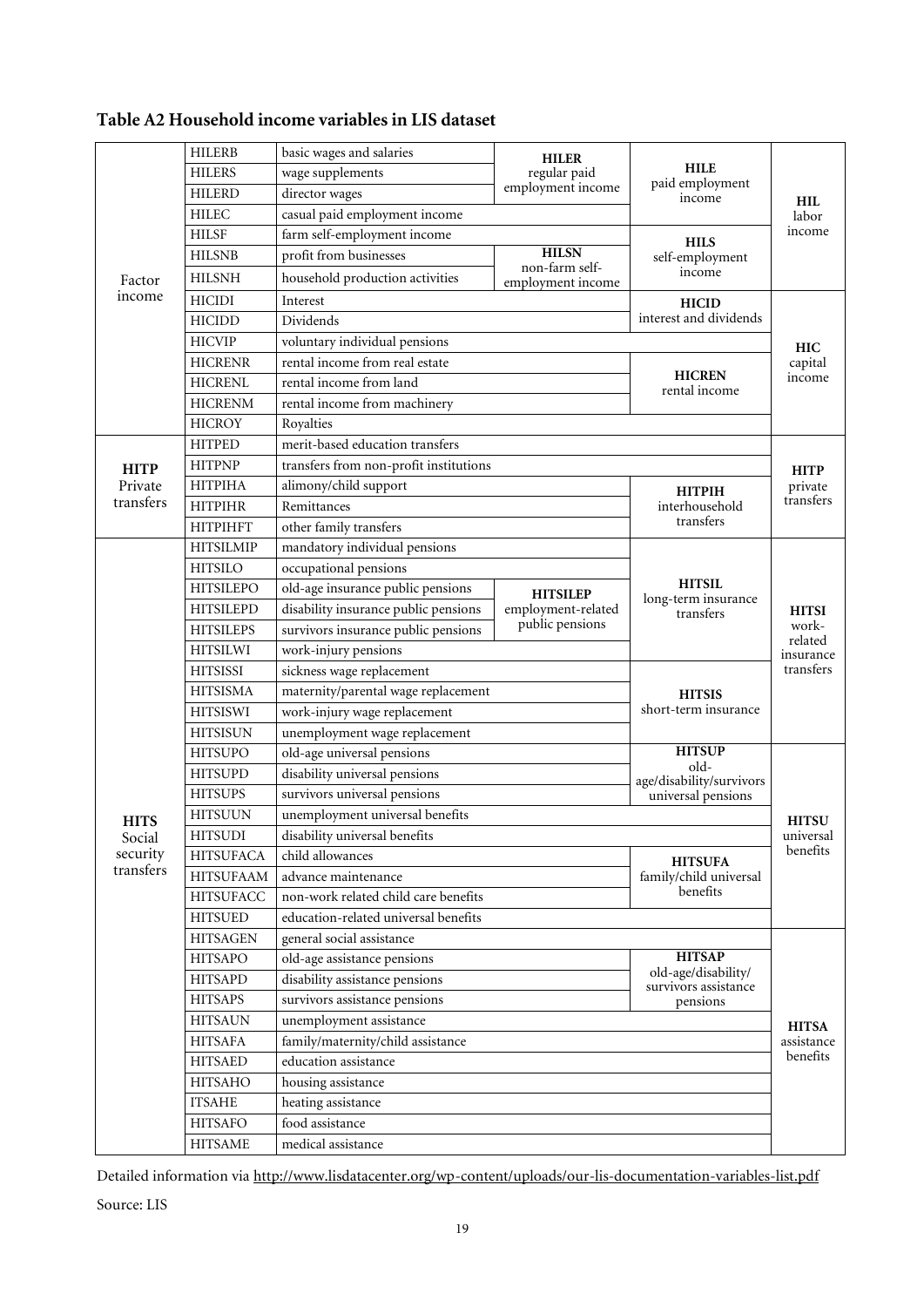|             | <b>HILERB</b>    | basic wages and salaries               | <b>HILER</b>                                      |                                                              |                                               |  |  |
|-------------|------------------|----------------------------------------|---------------------------------------------------|--------------------------------------------------------------|-----------------------------------------------|--|--|
|             | <b>HILERS</b>    | wage supplements                       | regular paid                                      | <b>HILE</b>                                                  |                                               |  |  |
|             | <b>HILERD</b>    | employment income<br>director wages    |                                                   | paid employment<br>income                                    | <b>HIL</b>                                    |  |  |
|             | <b>HILEC</b>     | casual paid employment income          |                                                   |                                                              | labor                                         |  |  |
|             | <b>HILSF</b>     | farm self-employment income            |                                                   | <b>HILS</b>                                                  | income                                        |  |  |
| Factor      | <b>HILSNB</b>    | profit from businesses                 | <b>HILSN</b>                                      | self-employment                                              |                                               |  |  |
|             | <b>HILSNH</b>    | household production activities        | non-farm self-<br>employment income               | income                                                       |                                               |  |  |
| income      | <b>HICIDI</b>    | Interest                               |                                                   | <b>HICID</b>                                                 |                                               |  |  |
|             | <b>HICIDD</b>    | Dividends                              | interest and dividends                            | <b>HIC</b><br>capital<br>income                              |                                               |  |  |
|             | <b>HICVIP</b>    | voluntary individual pensions          |                                                   |                                                              |                                               |  |  |
|             | <b>HICRENR</b>   | rental income from real estate         |                                                   |                                                              |                                               |  |  |
|             | <b>HICRENL</b>   | rental income from land                | <b>HICREN</b><br>rental income                    |                                                              |                                               |  |  |
|             | <b>HICRENM</b>   | rental income from machinery           |                                                   |                                                              |                                               |  |  |
|             | <b>HICROY</b>    | Royalties                              |                                                   |                                                              |                                               |  |  |
|             | <b>HITPED</b>    | merit-based education transfers        |                                                   |                                                              |                                               |  |  |
| <b>HITP</b> | <b>HITPNP</b>    | transfers from non-profit institutions |                                                   |                                                              | <b>HITP</b>                                   |  |  |
| Private     | <b>HITPIHA</b>   | alimony/child support                  |                                                   | <b>HITPIH</b>                                                | private<br>transfers                          |  |  |
| transfers   | <b>HITPIHR</b>   | Remittances                            |                                                   | interhousehold                                               |                                               |  |  |
|             | <b>HITPIHFT</b>  | other family transfers                 |                                                   | transfers                                                    |                                               |  |  |
|             | <b>HITSILMIP</b> | mandatory individual pensions          |                                                   |                                                              |                                               |  |  |
|             | <b>HITSILO</b>   | occupational pensions                  |                                                   |                                                              |                                               |  |  |
|             | <b>HITSILEPO</b> | old-age insurance public pensions      | <b>HITSILEP</b>                                   | <b>HITSIL</b>                                                | <b>HITSI</b><br>work-<br>related<br>insurance |  |  |
|             | <b>HITSILEPD</b> | disability insurance public pensions   | employment-related                                | long-term insurance<br>transfers                             |                                               |  |  |
|             | <b>HITSILEPS</b> | survivors insurance public pensions    | public pensions                                   |                                                              |                                               |  |  |
|             | <b>HITSILWI</b>  | work-injury pensions                   |                                                   |                                                              |                                               |  |  |
|             | <b>HITSISSI</b>  | sickness wage replacement              |                                                   | transfers<br><b>HITSU</b>                                    |                                               |  |  |
|             | <b>HITSISMA</b>  | maternity/parental wage replacement    | <b>HITSIS</b>                                     |                                                              |                                               |  |  |
|             | <b>HITSISWI</b>  | work-injury wage replacement           | short-term insurance                              |                                                              |                                               |  |  |
|             | <b>HITSISUN</b>  | unemployment wage replacement          |                                                   |                                                              |                                               |  |  |
|             | <b>HITSUPO</b>   | old-age universal pensions             | <b>HITSUP</b><br>old-<br>age/disability/survivors |                                                              |                                               |  |  |
|             | <b>HITSUPD</b>   | disability universal pensions          |                                                   |                                                              |                                               |  |  |
|             | <b>HITSUPS</b>   | survivors universal pensions           | universal pensions                                |                                                              |                                               |  |  |
| <b>HITS</b> | <b>HITSUUN</b>   | unemployment universal benefits        |                                                   |                                                              |                                               |  |  |
| Social      | <b>HITSUDI</b>   | disability universal benefits          |                                                   |                                                              | universal                                     |  |  |
| security    | <b>HITSUFACA</b> | child allowances                       |                                                   | <b>HITSUFA</b>                                               | benefits                                      |  |  |
| transfers   | <b>HITSUFAAM</b> | advance maintenance                    |                                                   | family/child universal                                       |                                               |  |  |
|             | <b>HITSUFACC</b> | non-work related child care benefits   |                                                   | benefits                                                     |                                               |  |  |
|             | <b>HITSUED</b>   | education-related universal benefits   |                                                   |                                                              |                                               |  |  |
|             | <b>HITSAGEN</b>  | general social assistance              |                                                   |                                                              |                                               |  |  |
|             | <b>HITSAPO</b>   | old-age assistance pensions            |                                                   | <b>HITSAP</b><br>old-age/disability/<br>survivors assistance |                                               |  |  |
|             | <b>HITSAPD</b>   | disability assistance pensions         |                                                   |                                                              |                                               |  |  |
|             | <b>HITSAPS</b>   | survivors assistance pensions          |                                                   | pensions                                                     |                                               |  |  |
|             | <b>HITSAUN</b>   | unemployment assistance                |                                                   | <b>HITSA</b>                                                 |                                               |  |  |
|             | <b>HITSAFA</b>   | family/maternity/child assistance      |                                                   |                                                              |                                               |  |  |
|             | <b>HITSAED</b>   | education assistance                   |                                                   |                                                              |                                               |  |  |
|             | <b>HITSAHO</b>   | housing assistance                     |                                                   |                                                              |                                               |  |  |
|             | <b>ITSAHE</b>    | heating assistance                     |                                                   |                                                              |                                               |  |  |
|             | <b>HITSAFO</b>   | food assistance                        |                                                   |                                                              |                                               |  |  |
|             | <b>HITSAME</b>   | medical assistance                     |                                                   |                                                              |                                               |  |  |

# **Table A2 Household income variables in LIS dataset**

Detailed information via<http://www.lisdatacenter.org/wp-content/uploads/our-lis-documentation-variables-list.pdf>

Source: LIS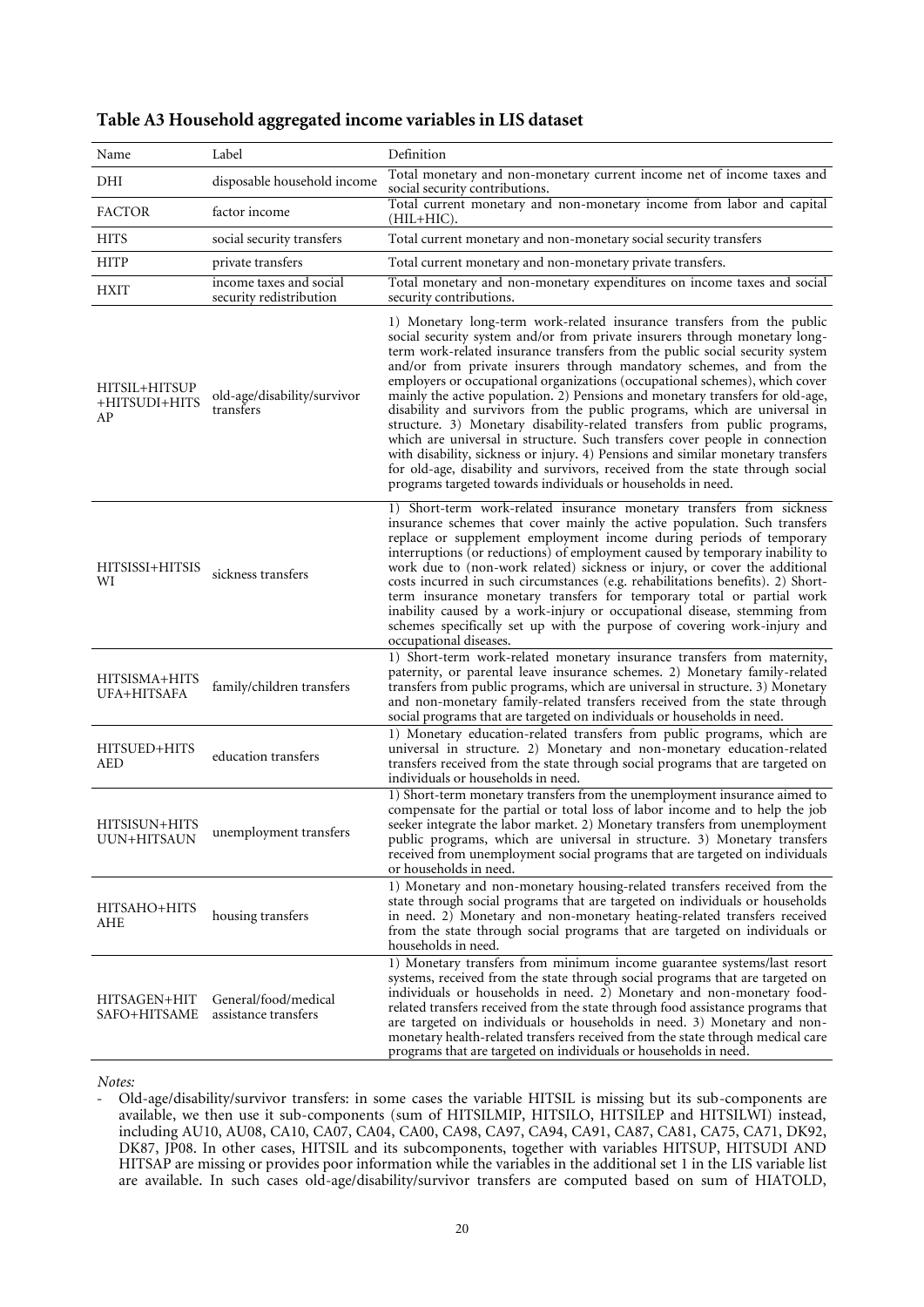| Name                                 | Label                                              | Definition                                                                                                                                                                                                                                                                                                                                                                                                                                                                                                                                                                                                                                                                                                                                                                                                                                                                                                                                                |
|--------------------------------------|----------------------------------------------------|-----------------------------------------------------------------------------------------------------------------------------------------------------------------------------------------------------------------------------------------------------------------------------------------------------------------------------------------------------------------------------------------------------------------------------------------------------------------------------------------------------------------------------------------------------------------------------------------------------------------------------------------------------------------------------------------------------------------------------------------------------------------------------------------------------------------------------------------------------------------------------------------------------------------------------------------------------------|
|                                      |                                                    | Total monetary and non-monetary current income net of income taxes and                                                                                                                                                                                                                                                                                                                                                                                                                                                                                                                                                                                                                                                                                                                                                                                                                                                                                    |
| DHI                                  | disposable household income                        | social security contributions.                                                                                                                                                                                                                                                                                                                                                                                                                                                                                                                                                                                                                                                                                                                                                                                                                                                                                                                            |
| <b>FACTOR</b>                        | factor income                                      | Total current monetary and non-monetary income from labor and capital<br>(HIL+HIC).                                                                                                                                                                                                                                                                                                                                                                                                                                                                                                                                                                                                                                                                                                                                                                                                                                                                       |
| <b>HITS</b>                          | social security transfers                          | Total current monetary and non-monetary social security transfers                                                                                                                                                                                                                                                                                                                                                                                                                                                                                                                                                                                                                                                                                                                                                                                                                                                                                         |
| <b>HITP</b>                          | private transfers                                  | Total current monetary and non-monetary private transfers.                                                                                                                                                                                                                                                                                                                                                                                                                                                                                                                                                                                                                                                                                                                                                                                                                                                                                                |
| <b>HXIT</b>                          | income taxes and social<br>security redistribution | Total monetary and non-monetary expenditures on income taxes and social<br>security contributions.                                                                                                                                                                                                                                                                                                                                                                                                                                                                                                                                                                                                                                                                                                                                                                                                                                                        |
| HITSIL+HITSUP<br>+HITSUDI+HITS<br>AP | old-age/disability/survivor<br>transfers           | 1) Monetary long-term work-related insurance transfers from the public<br>social security system and/or from private insurers through monetary long-<br>term work-related insurance transfers from the public social security system<br>and/or from private insurers through mandatory schemes, and from the<br>employers or occupational organizations (occupational schemes), which cover<br>mainly the active population. 2) Pensions and monetary transfers for old-age,<br>disability and survivors from the public programs, which are universal in<br>structure. 3) Monetary disability-related transfers from public programs,<br>which are universal in structure. Such transfers cover people in connection<br>with disability, sickness or injury. 4) Pensions and similar monetary transfers<br>for old-age, disability and survivors, received from the state through social<br>programs targeted towards individuals or households in need. |
| HITSISSI+HITSIS<br>WI                | sickness transfers                                 | 1) Short-term work-related insurance monetary transfers from sickness<br>insurance schemes that cover mainly the active population. Such transfers<br>replace or supplement employment income during periods of temporary<br>interruptions (or reductions) of employment caused by temporary inability to<br>work due to (non-work related) sickness or injury, or cover the additional<br>costs incurred in such circumstances (e.g. rehabilitations benefits). 2) Short-<br>term insurance monetary transfers for temporary total or partial work<br>inability caused by a work-injury or occupational disease, stemming from<br>schemes specifically set up with the purpose of covering work-injury and<br>occupational diseases.                                                                                                                                                                                                                     |
| HITSISMA+HITS<br>UFA+HITSAFA         | family/children transfers                          | 1) Short-term work-related monetary insurance transfers from maternity,<br>paternity, or parental leave insurance schemes. 2) Monetary family-related<br>transfers from public programs, which are universal in structure. 3) Monetary<br>and non-monetary family-related transfers received from the state through<br>social programs that are targeted on individuals or households in need.                                                                                                                                                                                                                                                                                                                                                                                                                                                                                                                                                            |
| HITSUED+HITS<br>AED                  | education transfers                                | 1) Monetary education-related transfers from public programs, which are<br>universal in structure. 2) Monetary and non-monetary education-related<br>transfers received from the state through social programs that are targeted on<br>individuals or households in need.                                                                                                                                                                                                                                                                                                                                                                                                                                                                                                                                                                                                                                                                                 |
| HITSISUN+HITS<br>UUN+HITSAUN         | unemployment transfers                             | 1) Short-term monetary transfers from the unemployment insurance aimed to<br>compensate for the partial or total loss of labor income and to help the job<br>seeker integrate the labor market. 2) Monetary transfers from unemployment<br>public programs, which are universal in structure. 3) Monetary transfers<br>received from unemployment social programs that are targeted on individuals<br>or households in need.                                                                                                                                                                                                                                                                                                                                                                                                                                                                                                                              |
| HITSAHO+HITS<br>AHE                  | housing transfers                                  | 1) Monetary and non-monetary housing-related transfers received from the<br>state through social programs that are targeted on individuals or households<br>in need. 2) Monetary and non-monetary heating-related transfers received<br>from the state through social programs that are targeted on individuals or<br>households in need.                                                                                                                                                                                                                                                                                                                                                                                                                                                                                                                                                                                                                 |
| HITSAGEN+HIT<br>SAFO+HITSAME         | General/food/medical<br>assistance transfers       | 1) Monetary transfers from minimum income guarantee systems/last resort<br>systems, received from the state through social programs that are targeted on<br>individuals or households in need. 2) Monetary and non-monetary food-<br>related transfers received from the state through food assistance programs that<br>are targeted on individuals or households in need. 3) Monetary and non-<br>monetary health-related transfers received from the state through medical care<br>programs that are targeted on individuals or households in need.                                                                                                                                                                                                                                                                                                                                                                                                     |

## **Table A3 Household aggregated income variables in LIS dataset**

*Notes:* 

<sup>-</sup> Old-age/disability/survivor transfers: in some cases the variable HITSIL is missing but its sub-components are available, we then use it sub-components (sum of HITSILMIP, HITSILO, HITSILEP and HITSILWI) instead, including AU10, AU08, CA10, CA07, CA04, CA00, CA98, CA97, CA94, CA91, CA87, CA81, CA75, CA71, DK92, DK87, JP08. In other cases, HITSIL and its subcomponents, together with variables HITSUP, HITSUDI AND HITSAP are missing or provides poor information while the variables in the additional set 1 in the LIS variable list are available. In such cases old-age/disability/survivor transfers are computed based on sum of HIATOLD,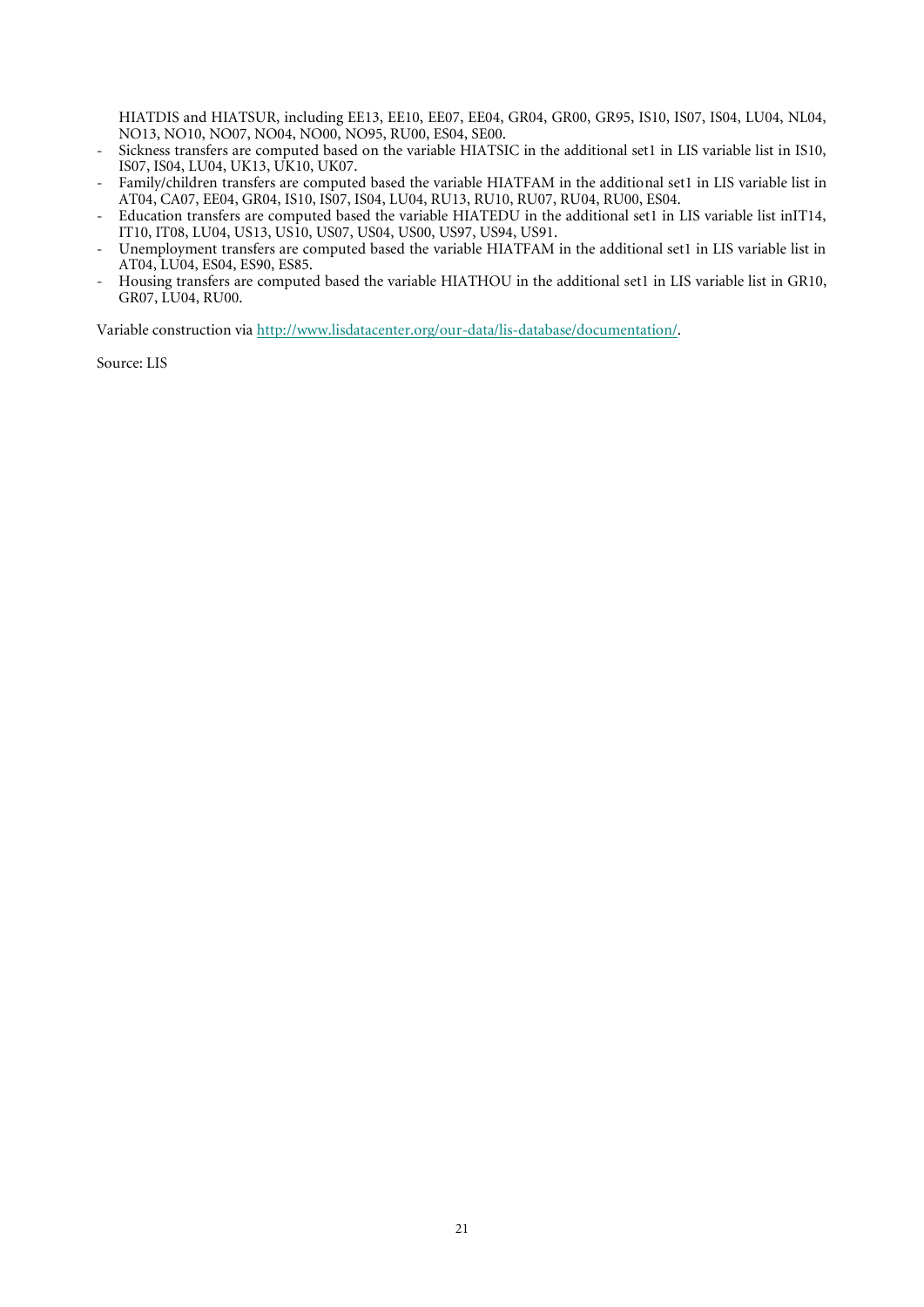HIATDIS and HIATSUR, including EE13, EE10, EE07, EE04, GR04, GR00, GR95, IS10, IS07, IS04, LU04, NL04, NO13, NO10, NO07, NO04, NO00, NO95, RU00, ES04, SE00.

- Sickness transfers are computed based on the variable HIATSIC in the additional set1 in LIS variable list in IS10, IS07, IS04, LU04, UK13, UK10, UK07.
- Family/children transfers are computed based the variable HIATFAM in the additional set1 in LIS variable list in AT04, CA07, EE04, GR04, IS10, IS07, IS04, LU04, RU13, RU10, RU07, RU04, RU00, ES04.
- Education transfers are computed based the variable HIATEDU in the additional set1 in LIS variable list inIT14, IT10, IT08, LU04, US13, US10, US07, US04, US00, US97, US94, US91.
- Unemployment transfers are computed based the variable HIATFAM in the additional set1 in LIS variable list in AT04, LU04, ES04, ES90, ES85.
- Housing transfers are computed based the variable HIATHOU in the additional set1 in LIS variable list in GR10, GR07, LU04, RU00.

Variable construction vi[a http://www.lisdatacenter.org/our-data/lis-database/documentation/.](http://www.lisdatacenter.org/our-data/lis-database/documentation/)

Source: LIS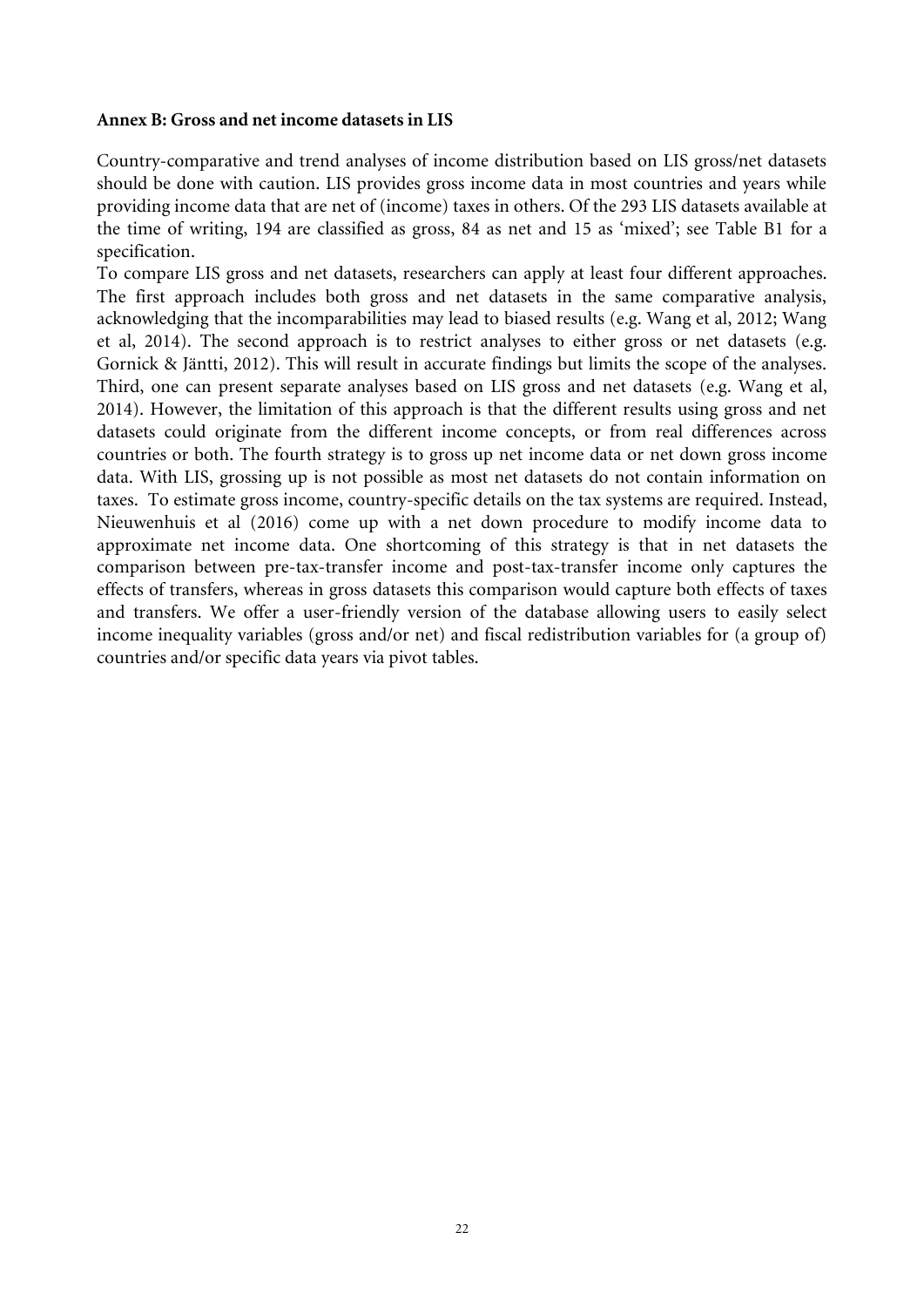## **Annex B: Gross and net income datasets in LIS**

Country-comparative and trend analyses of income distribution based on LIS gross/net datasets should be done with caution. LIS provides gross income data in most countries and years while providing income data that are net of (income) taxes in others. Of the 293 LIS datasets available at the time of writing, 194 are classified as gross, 84 as net and 15 as 'mixed'; see Table B1 for a specification.

To compare LIS gross and net datasets, researchers can apply at least four different approaches. The first approach includes both gross and net datasets in the same comparative analysis, acknowledging that the incomparabilities may lead to biased results (e.g. Wang et al, 2012; Wang et al, 2014). The second approach is to restrict analyses to either gross or net datasets (e.g. Gornick & Jäntti, 2012). This will result in accurate findings but limits the scope of the analyses. Third, one can present separate analyses based on LIS gross and net datasets (e.g. Wang et al, 2014). However, the limitation of this approach is that the different results using gross and net datasets could originate from the different income concepts, or from real differences across countries or both. The fourth strategy is to gross up net income data or net down gross income data. With LIS, grossing up is not possible as most net datasets do not contain information on taxes. To estimate gross income, country-specific details on the tax systems are required. Instead, Nieuwenhuis et al (2016) come up with a net down procedure to modify income data to approximate net income data. One shortcoming of this strategy is that in net datasets the comparison between pre-tax-transfer income and post-tax-transfer income only captures the effects of transfers, whereas in gross datasets this comparison would capture both effects of taxes and transfers. We offer a user-friendly version of the database allowing users to easily select income inequality variables (gross and/or net) and fiscal redistribution variables for (a group of) countries and/or specific data years via pivot tables.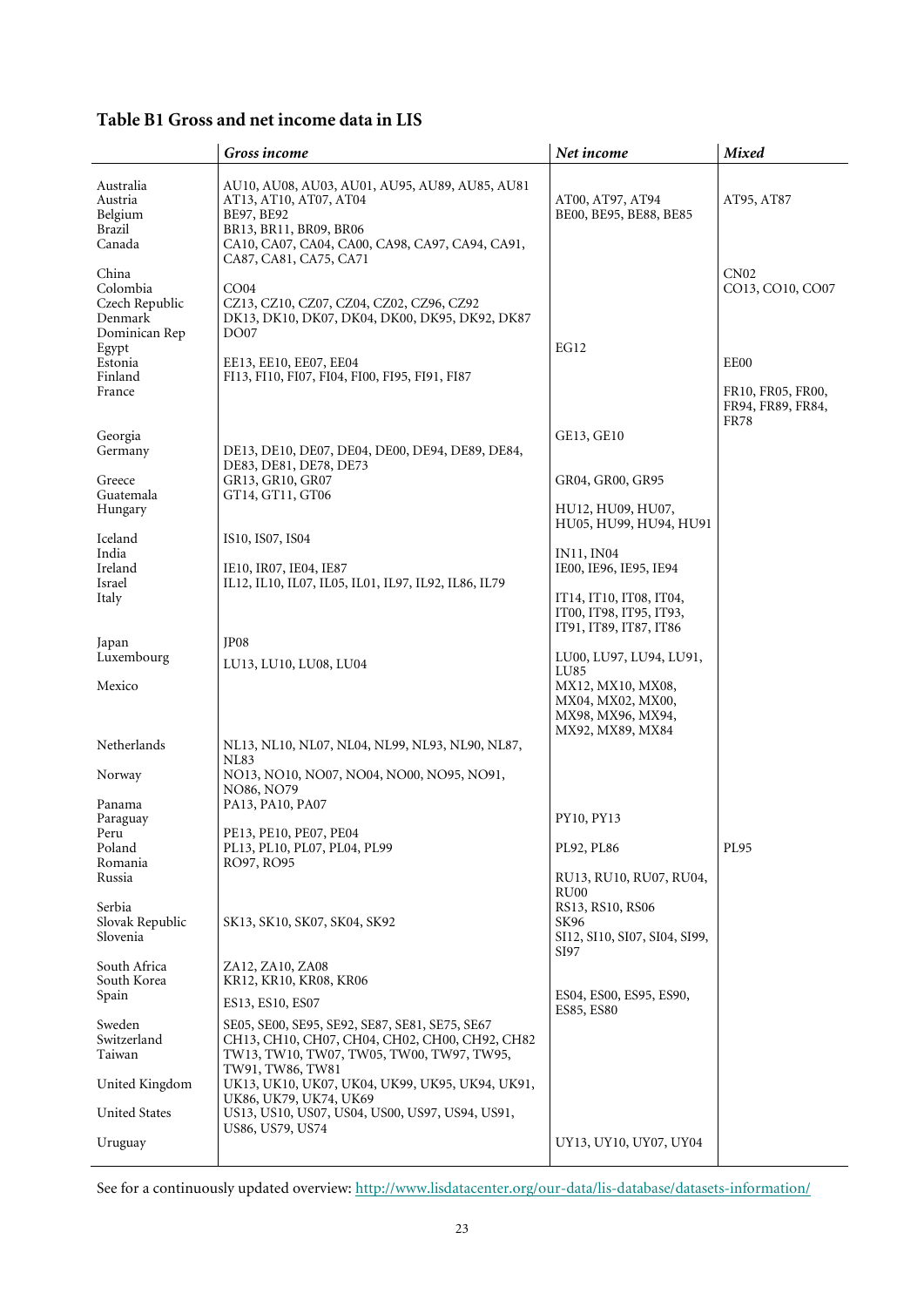# **Table B1 Gross and net income data in LIS**

|                                                                          | Gross income                                                                                                                                                                                  | Net income                                                                      | <b>Mixed</b>                                                  |
|--------------------------------------------------------------------------|-----------------------------------------------------------------------------------------------------------------------------------------------------------------------------------------------|---------------------------------------------------------------------------------|---------------------------------------------------------------|
| Australia<br>Austria<br>Belgium<br>Brazil<br>Canada                      | AU10, AU08, AU03, AU01, AU95, AU89, AU85, AU81<br>AT13, AT10, AT07, AT04<br>BE97, BE92<br>BR13, BR11, BR09, BR06<br>CA10, CA07, CA04, CA00, CA98, CA97, CA94, CA91,<br>CA87, CA81, CA75, CA71 | AT00, AT97, AT94<br>BE00, BE95, BE88, BE85                                      | AT95, AT87                                                    |
| China<br>Colombia<br>Czech Republic<br>Denmark<br>Dominican Rep<br>Egypt | CO04<br>CZ13, CZ10, CZ07, CZ04, CZ02, CZ96, CZ92<br>DK13, DK10, DK07, DK04, DK00, DK95, DK92, DK87<br><b>DO07</b>                                                                             | <b>EG12</b>                                                                     | CN02<br>CO13, CO10, CO07                                      |
| Estonia<br>Finland<br>France                                             | EE13, EE10, EE07, EE04<br>FI13, FI10, FI07, FI04, FI00, FI95, FI91, FI87                                                                                                                      |                                                                                 | EE00<br>FR10, FR05, FR00,<br>FR94, FR89, FR84,<br><b>FR78</b> |
| Georgia<br>Germany                                                       | DE13, DE10, DE07, DE04, DE00, DE94, DE89, DE84,                                                                                                                                               | GE13, GE10                                                                      |                                                               |
| Greece<br>Guatemala                                                      | DE83, DE81, DE78, DE73<br>GR13, GR10, GR07<br>GT14, GT11, GT06                                                                                                                                | GR04, GR00, GR95                                                                |                                                               |
| Hungary<br>Iceland                                                       |                                                                                                                                                                                               | HU12, HU09, HU07,<br>HU05, HU99, HU94, HU91                                     |                                                               |
| India<br>Ireland                                                         | IS10, IS07, IS04<br>IE10, IR07, IE04, IE87                                                                                                                                                    | <b>IN11, IN04</b><br>IE00, IE96, IE95, IE94                                     |                                                               |
| Israel<br>Italy                                                          | IL12, IL10, IL07, IL05, IL01, IL97, IL92, IL86, IL79                                                                                                                                          | IT14, IT10, IT08, IT04,<br>IT00, IT98, IT95, IT93,<br>IT91, IT89, IT87, IT86    |                                                               |
| Japan                                                                    | JP <sub>08</sub>                                                                                                                                                                              |                                                                                 |                                                               |
| Luxembourg                                                               | LU13, LU10, LU08, LU04                                                                                                                                                                        | LU00, LU97, LU94, LU91,<br>LU <sub>85</sub>                                     |                                                               |
| Mexico                                                                   |                                                                                                                                                                                               | MX12, MX10, MX08,<br>MX04, MX02, MX00,<br>MX98, MX96, MX94,<br>MX92, MX89, MX84 |                                                               |
| Netherlands                                                              | NL13, NL10, NL07, NL04, NL99, NL93, NL90, NL87,                                                                                                                                               |                                                                                 |                                                               |
| Norway                                                                   | <b>NL83</b><br>NO13, NO10, NO07, NO04, NO00, NO95, NO91,<br>NO86, NO79                                                                                                                        |                                                                                 |                                                               |
| Panama<br>Paraguay                                                       | PA13, PA10, PA07                                                                                                                                                                              | PY10, PY13                                                                      |                                                               |
| Peru<br>Poland                                                           | PE13, PE10, PE07, PE04<br>PL13, PL10, PL07, PL04, PL99                                                                                                                                        | PL92, PL86                                                                      | PL95                                                          |
| Romania<br>Russia                                                        | RO97, RO95                                                                                                                                                                                    | RU13, RU10, RU07, RU04,<br>RU <sub>00</sub>                                     |                                                               |
| Serbia<br>Slovak Republic<br>Slovenia                                    | SK13, SK10, SK07, SK04, SK92                                                                                                                                                                  | RS13, RS10, RS06<br>SK96<br>SI12, SI10, SI07, SI04, SI99,<br>SI97               |                                                               |
| South Africa<br>South Korea                                              | ZA12, ZA10, ZA08<br>KR12, KR10, KR08, KR06                                                                                                                                                    |                                                                                 |                                                               |
| Spain                                                                    | ES13, ES10, ES07                                                                                                                                                                              | ES04, ES00, ES95, ES90,<br>ES85, ES80                                           |                                                               |
| Sweden<br>Switzerland<br>Taiwan                                          | SE05, SE00, SE95, SE92, SE87, SE81, SE75, SE67<br>СН13, СН10, СН07, СН04, СН02, СН00, СН92, СН82<br>TW13, TW10, TW07, TW05, TW00, TW97, TW95,<br>TW91, TW86, TW81                             |                                                                                 |                                                               |
| United Kingdom                                                           | UK13, UK10, UK07, UK04, UK99, UK95, UK94, UK91,<br>UK86, UK79, UK74, UK69                                                                                                                     |                                                                                 |                                                               |
| <b>United States</b>                                                     | US13, US10, US07, US04, US00, US97, US94, US91,<br>US86, US79, US74                                                                                                                           |                                                                                 |                                                               |
| Uruguay                                                                  |                                                                                                                                                                                               | UY13, UY10, UY07, UY04                                                          |                                                               |

See for a continuously updated overview:<http://www.lisdatacenter.org/our-data/lis-database/datasets-information/>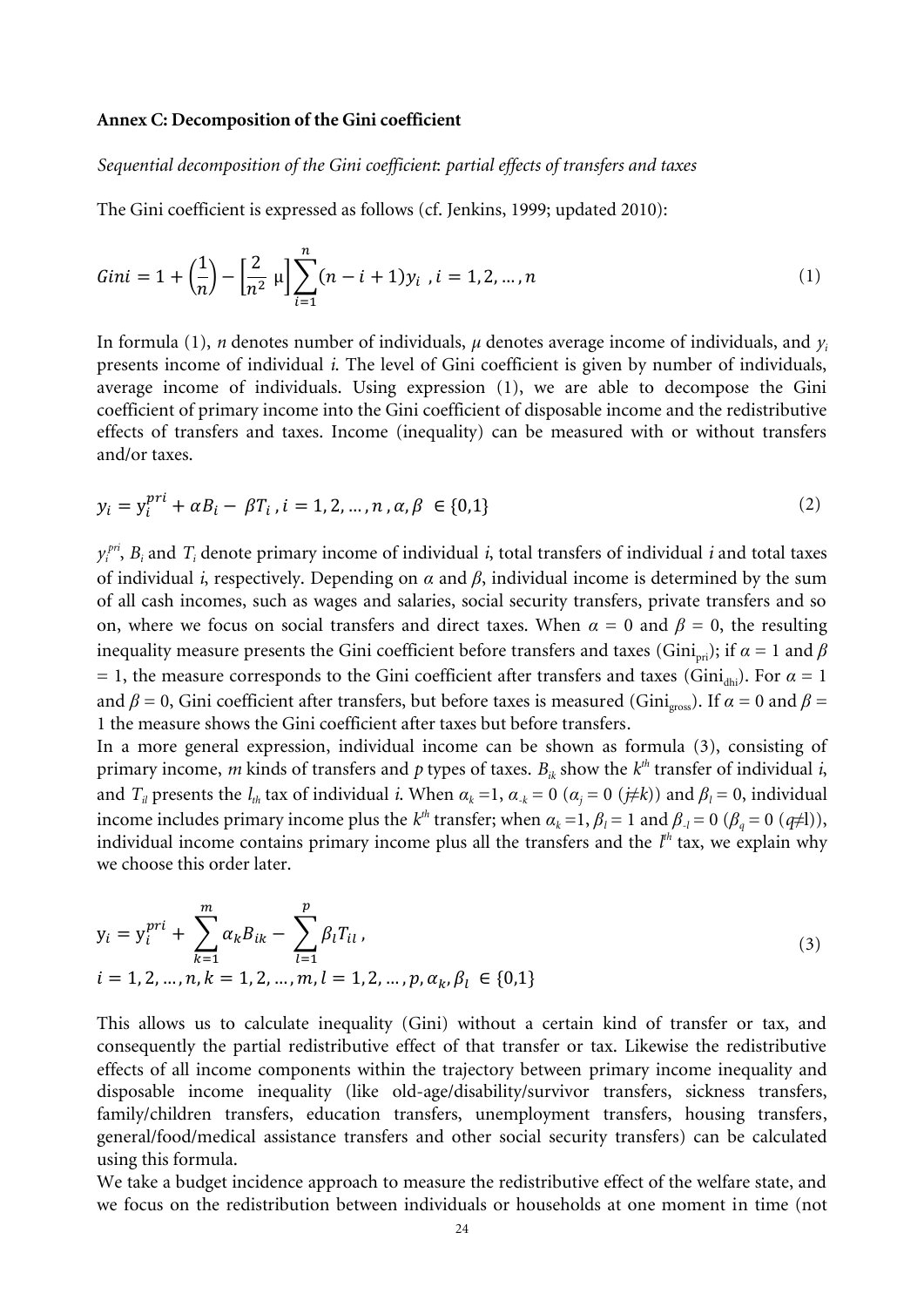#### **Annex C: Decomposition of the Gini coefficient**

*Sequential decomposition of the Gini coefficient*: *partial effects of transfers and taxes*

The Gini coefficient is expressed as follows (cf. Jenkins, 1999; updated 2010):

$$
Gini = 1 + \left(\frac{1}{n}\right) - \left[\frac{2}{n^2} \mu\right] \sum_{i=1}^{n} (n - i + 1) y_i, i = 1, 2, ..., n
$$
 (1)

In formula (1), *n* denotes number of individuals,  $\mu$  denotes average income of individuals, and  $\gamma$ *<sub>i</sub>* presents income of individual *i*. The level of Gini coefficient is given by number of individuals, average income of individuals. Using expression (1), we are able to decompose the Gini coefficient of primary income into the Gini coefficient of disposable income and the redistributive effects of transfers and taxes. Income (inequality) can be measured with or without transfers and/or taxes.

$$
y_i = y_i^{pri} + \alpha B_i - \beta T_i, i = 1, 2, ..., n, \alpha, \beta \in \{0, 1\}
$$
 (2)

 $y_i^{pri}$ ,  $B_i$  and  $T_i$  denote primary income of individual *i*, total transfers of individual *i* and total taxes of individual *i*, respectively. Depending on *α* and *β*, individual income is determined by the sum of all cash incomes, such as wages and salaries, social security transfers, private transfers and so on, where we focus on social transfers and direct taxes. When  $\alpha = 0$  and  $\beta = 0$ , the resulting inequality measure presents the Gini coefficient before transfers and taxes (Gini<sub>pri</sub>); if  $\alpha = 1$  and  $\beta$ = 1, the measure corresponds to the Gini coefficient after transfers and taxes (Gini<sub>dhi</sub>). For  $\alpha = 1$ and  $\beta = 0$ , Gini coefficient after transfers, but before taxes is measured (Gini<sub>gross</sub>). If  $\alpha = 0$  and  $\beta =$ 1 the measure shows the Gini coefficient after taxes but before transfers.

In a more general expression, individual income can be shown as formula (3), consisting of primary income,  $m$  kinds of transfers and  $p$  types of taxes.  $B_{ik}$  show the  $k^{th}$  transfer of individual  $i$ , and  $T_i$  presents the  $l_{th}$  tax of individual *i*. When  $\alpha_k = 1$ ,  $\alpha_{-k} = 0$  ( $\alpha_j = 0$  ( $\neq k$ )) and  $\beta_i = 0$ , individual income includes primary income plus the  $k^{th}$  transfer; when  $\alpha_k = 1$ ,  $\beta_l = 1$  and  $\beta_{-l} = 0$  ( $\beta_q = 0$  ( $q \neq 1$ )), individual income contains primary income plus all the transfers and the *l th* tax, we explain why we choose this order later.

$$
y_i = y_i^{pri} + \sum_{k=1}^{m} \alpha_k B_{ik} - \sum_{l=1}^{p} \beta_l T_{il},
$$
  
\n
$$
i = 1, 2, ..., n, k = 1, 2, ..., m, l = 1, 2, ..., p, \alpha_k, \beta_l \in \{0, 1\}
$$
 (3)

This allows us to calculate inequality (Gini) without a certain kind of transfer or tax, and consequently the partial redistributive effect of that transfer or tax. Likewise the redistributive effects of all income components within the trajectory between primary income inequality and disposable income inequality (like old-age/disability/survivor transfers, sickness transfers, family/children transfers, education transfers, unemployment transfers, housing transfers, general/food/medical assistance transfers and other social security transfers) can be calculated using this formula.

We take a budget incidence approach to measure the redistributive effect of the welfare state, and we focus on the redistribution between individuals or households at one moment in time (not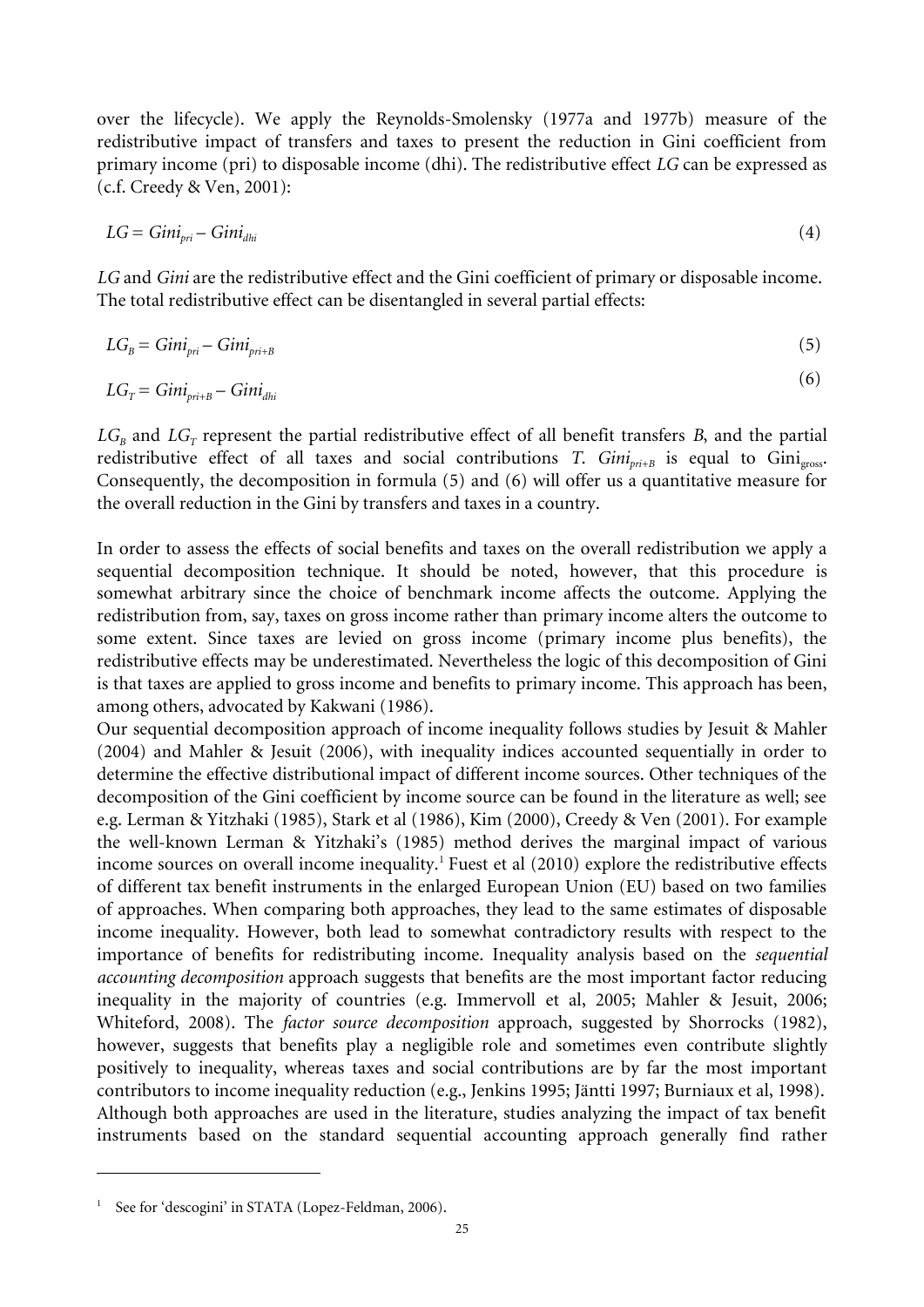over the lifecycle). We apply the Reynolds-Smolensky (1977a and 1977b) measure of the redistributive impact of transfers and taxes to present the reduction in Gini coefficient from primary income (pri) to disposable income (dhi). The redistributive effect *LG* can be expressed as (c.f. Creedy & Ven, 2001):

$$
LG = Gini_{pri} - Gini_{dhi} \tag{4}
$$

*LG* and *Gini* are the redistributive effect and the Gini coefficient of primary or disposable income. The total redistributive effect can be disentangled in several partial effects:

$$
LG_B = Gini_{pri} - Gini_{pri+B} \tag{5}
$$

$$
LG_T = Gini_{pri+B} - Gini_{dhi} \tag{6}
$$

 $LG_{B}$  and  $LG_{T}$  represent the partial redistributive effect of all benefit transfers *B*, and the partial redistributive effect of all taxes and social contributions *T*. *Gini*<sub>pri+B</sub> is equal to Gini<sub>pross</sub>. Consequently, the decomposition in formula (5) and (6) will offer us a quantitative measure for the overall reduction in the Gini by transfers and taxes in a country.

In order to assess the effects of social benefits and taxes on the overall redistribution we apply a sequential decomposition technique. It should be noted, however, that this procedure is somewhat arbitrary since the choice of benchmark income affects the outcome. Applying the redistribution from, say, taxes on gross income rather than primary income alters the outcome to some extent. Since taxes are levied on gross income (primary income plus benefits), the redistributive effects may be underestimated. Nevertheless the logic of this decomposition of Gini is that taxes are applied to gross income and benefits to primary income. This approach has been, among others, advocated by Kakwani (1986).

Our sequential decomposition approach of income inequality follows studies by Jesuit & Mahler (2004) and Mahler & Jesuit (2006), with inequality indices accounted sequentially in order to determine the effective distributional impact of different income sources. Other techniques of the decomposition of the Gini coefficient by income source can be found in the literature as well; see e.g. Lerman & Yitzhaki (1985), Stark et al (1986), Kim (2000), Creedy & Ven (2001). For example the well-known Lerman & Yitzhaki's (1985) method derives the marginal impact of various income sources on overall income inequality.<sup>1</sup> Fuest et al (2010) explore the redistributive effects of different tax benefit instruments in the enlarged European Union (EU) based on two families of approaches. When comparing both approaches, they lead to the same estimates of disposable income inequality. However, both lead to somewhat contradictory results with respect to the importance of benefits for redistributing income. Inequality analysis based on the *sequential accounting decomposition* approach suggests that benefits are the most important factor reducing inequality in the majority of countries (e.g. Immervoll et al, 2005; Mahler & Jesuit, 2006; Whiteford, 2008). The *factor source decomposition* approach, suggested by Shorrocks (1982), however, suggests that benefits play a negligible role and sometimes even contribute slightly positively to inequality, whereas taxes and social contributions are by far the most important contributors to income inequality reduction (e.g., Jenkins 1995; Jäntti 1997; Burniaux et al, 1998). Although both approaches are used in the literature, studies analyzing the impact of tax benefit instruments based on the standard sequential accounting approach generally find rather

 $\overline{\phantom{a}}$ 

<sup>&</sup>lt;sup>1</sup> See for 'descogini' in STATA (Lopez-Feldman, 2006).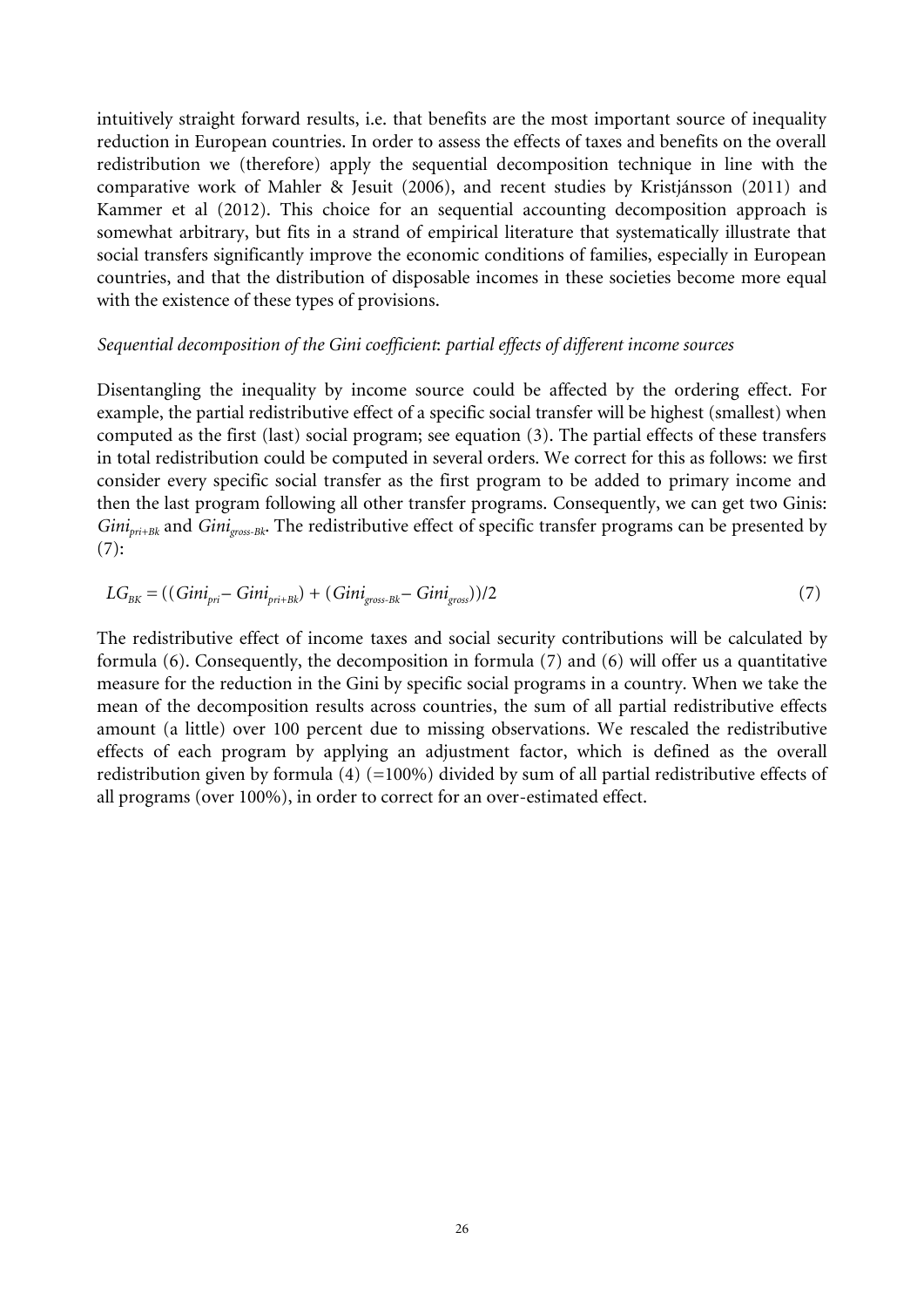intuitively straight forward results, i.e. that benefits are the most important source of inequality reduction in European countries. In order to assess the effects of taxes and benefits on the overall redistribution we (therefore) apply the sequential decomposition technique in line with the comparative work of Mahler & Jesuit (2006), and recent studies by Kristjánsson (2011) and Kammer et al (2012). This choice for an sequential accounting decomposition approach is somewhat arbitrary, but fits in a strand of empirical literature that systematically illustrate that social transfers significantly improve the economic conditions of families, especially in European countries, and that the distribution of disposable incomes in these societies become more equal with the existence of these types of provisions.

#### *Sequential decomposition of the Gini coefficient*: *partial effects of different income sources*

Disentangling the inequality by income source could be affected by the ordering effect. For example, the partial redistributive effect of a specific social transfer will be highest (smallest) when computed as the first (last) social program; see equation (3). The partial effects of these transfers in total redistribution could be computed in several orders. We correct for this as follows: we first consider every specific social transfer as the first program to be added to primary income and then the last program following all other transfer programs. Consequently, we can get two Ginis: *Ginipri+Bk* and *Ginigross-Bk*. The redistributive effect of specific transfer programs can be presented by  $(7):$ 

$$
LG_{BK} = ((Gini_{pri} - Gini_{pri+Bk}) + (Gini_{gross-Bk} - Gini_{gross}))/2
$$
\n(7)

The redistributive effect of income taxes and social security contributions will be calculated by formula (6). Consequently, the decomposition in formula (7) and (6) will offer us a quantitative measure for the reduction in the Gini by specific social programs in a country. When we take the mean of the decomposition results across countries, the sum of all partial redistributive effects amount (a little) over 100 percent due to missing observations. We rescaled the redistributive effects of each program by applying an adjustment factor, which is defined as the overall redistribution given by formula (4) (=100%) divided by sum of all partial redistributive effects of all programs (over 100%), in order to correct for an over-estimated effect.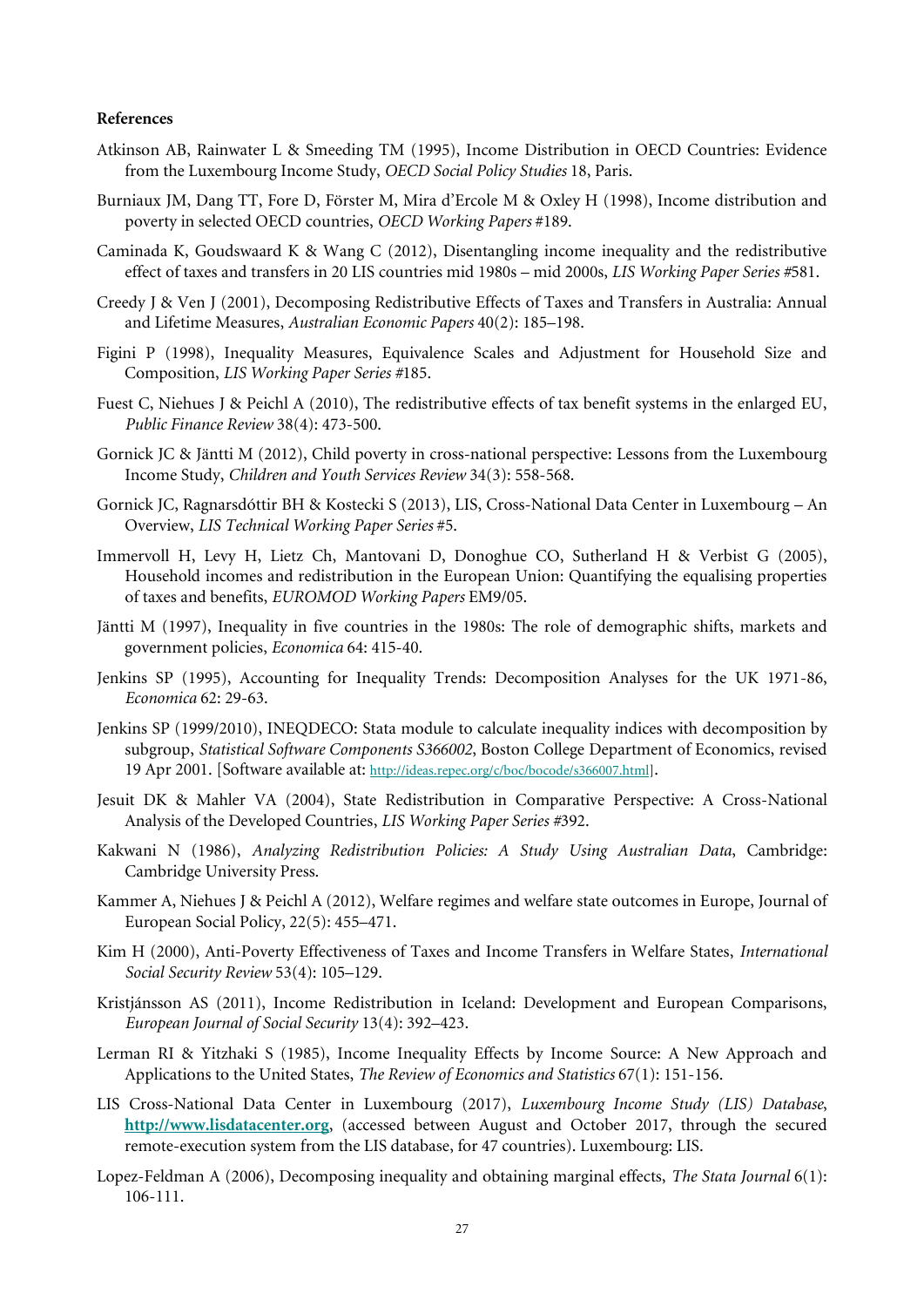#### **References**

- Atkinson AB, Rainwater L & Smeeding TM (1995), Income Distribution in OECD Countries: Evidence from the Luxembourg Income Study, *OECD Social Policy Studies* 18, Paris.
- Burniaux JM, Dang TT, Fore D, Förster M, Mira d'Ercole M & Oxley H (1998), Income distribution and poverty in selected OECD countries, *OECD Working Papers* #189.
- Caminada K, Goudswaard K & Wang C (2012), Disentangling income inequality and the redistributive effect of taxes and transfers in 20 LIS countries mid 1980s – mid 2000s, *LIS Working Paper Series #*581.
- Creedy J & Ven J (2001), Decomposing Redistributive Effects of Taxes and Transfers in Australia: Annual and Lifetime Measures, *Australian Economic Papers* 40(2): 185–198.
- Figini P (1998), Inequality Measures, Equivalence Scales and Adjustment for Household Size and Composition, *LIS Working Paper Series #*185.
- Fuest C, Niehues J & Peichl A (2010), The redistributive effects of tax benefit systems in the enlarged EU, *Public Finance Review* 38(4): 473-500.
- Gornick JC & Jäntti M (2012), Child poverty in cross-national perspective: Lessons from the Luxembourg Income Study, *Children and Youth Services Review* 34(3): 558-568.
- Gornick JC, Ragnarsdóttir BH & Kostecki S (2013), LIS, Cross-National Data Center in Luxembourg An Overview, *LIS Technical Working Paper Series* #5.
- Immervoll H, Levy H, Lietz Ch, Mantovani D, Donoghue CO, Sutherland H & Verbist G (2005), Household incomes and redistribution in the European Union: Quantifying the equalising properties of taxes and benefits, *EUROMOD Working Papers* EM9/05.
- Jäntti M (1997), Inequality in five countries in the 1980s: The role of demographic shifts, markets and government policies, *Economica* 64: 415-40.
- Jenkins SP (1995), Accounting for Inequality Trends: Decomposition Analyses for the UK 1971-86, *Economica* 62: 29-63.
- Jenkins SP (1999/2010), INEQDECO: Stata module to calculate inequality indices with decomposition by subgroup, *Statistical Software Components S366002*, Boston College Department of Economics, revised 19 Apr 2001. [Software available at: [http://ideas.repec.org/c/boc/bocode/s366007.html\]](http://ideas.repec.org/c/boc/bocode/s366007.html).
- Jesuit DK & Mahler VA (2004), State Redistribution in Comparative Perspective: A Cross-National Analysis of the Developed Countries, *LIS Working Paper Series #*392.
- Kakwani N (1986), *Analyzing Redistribution Policies: A Study Using Australian Data*, Cambridge: Cambridge University Press.
- Kammer A, Niehues J & Peichl A (2012), Welfare regimes and welfare state outcomes in Europe, Journal of European Social Policy, 22(5): 455–471.
- Kim H (2000), Anti-Poverty Effectiveness of Taxes and Income Transfers in Welfare States, *International Social Security Review* 53(4): 105–129.
- Kristjánsson AS (2011), Income Redistribution in Iceland: Development and European Comparisons, *European Journal of Social Security* 13(4): 392–423.
- Lerman RI & Yitzhaki S (1985), Income Inequality Effects by Income Source: A New Approach and Applications to the United States, *The Review of Economics and Statistics* 67(1): 151-156.
- LIS Cross-National Data Center in Luxembourg (2017), *Luxembourg Income Study (LIS) Database*, **[http://www.lisdatacenter.org](http://www.lisdatacenter.org/)**, (accessed between August and October 2017, through the secured remote-execution system from the LIS database, for 47 countries). Luxembourg: LIS.
- Lopez-Feldman A (2006), Decomposing inequality and obtaining marginal effects, *The Stata Journal* 6(1): 106-111.